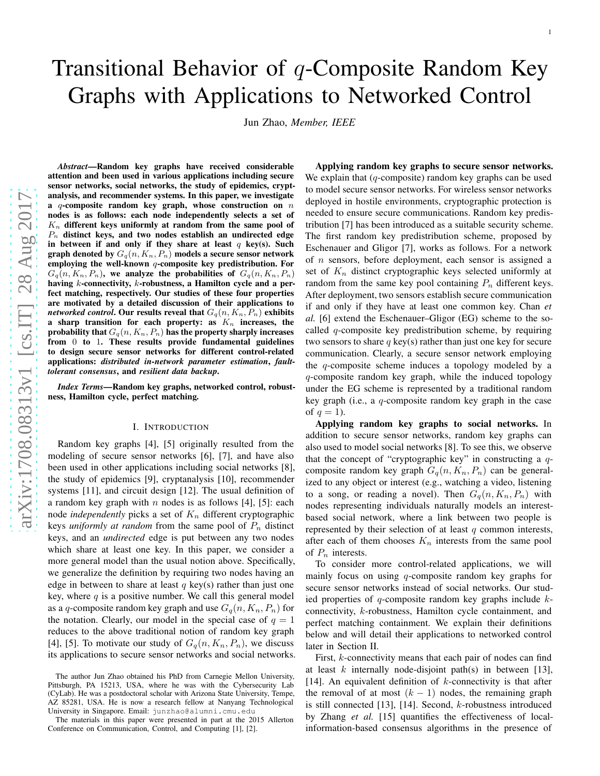# arXiv:1708.08313v1 [cs.IT] 28 Aug 2017 [arXiv:1708.08313v1 \[cs.IT\] 28 Aug 2017](http://arxiv.org/abs/1708.08313v1)

# Transitional Behavior of q-Composite Random Key Graphs with Applications to Networked Control

Jun Zhao, *Member, IEEE*

*Abstract*—Random key graphs have received considerable attention and been used in various applications including secure sensor networks, social networks, the study of epidemics, cryptanalysis, and recommender systems. In this paper, we investigate a  $q$ -composite random key graph, whose construction on  $n$ nodes is as follows: each node independently selects a set of  $K_n$  different keys uniformly at random from the same pool of  $P_n$  distinct keys, and two nodes establish an undirected edge in between if and only if they share at least  $q$  key(s). Such graph denoted by  $G_q(n, K_n, P_n)$  models a secure sensor network employing the well-known q-composite key predistribution. For  $G_q(n, K_n, P_n)$ , we analyze the probabilities of  $G_q(n, K_n, P_n)$ having *k*-connectivity, *k*-robustness, a Hamilton cycle and a perfect matching, respectively. Our studies of these four properties are motivated by a detailed discussion of their applications to *networked control*. Our results reveal that  $G_q(n, K_n, P_n)$  exhibits a sharp transition for each property: as  $K_n$  increases, the probability that  $G_q(n, K_n, P_n)$  has the property sharply increases from 0 to 1. These results provide fundamental guidelines to design secure sensor networks for different control-related applications: *distributed in-network parameter estimation* , *faulttolerant consensus*, and *resilient data backup*.

<span id="page-0-0"></span>*Index Terms*—Random key graphs, networked control, robustness, Hamilton cycle, perfect matching.

#### I. INTRODUCTION

Random key graphs [\[4\]](#page-8-0), [\[5\]](#page-8-1) originally resulted from the modeling of secure sensor networks [\[6\]](#page-8-2), [\[7\]](#page-8-3), and have also been used in other applications including social networks [\[8\]](#page-8-4), the study of epidemics [\[9\]](#page-8-5), cryptanalysis [\[10\]](#page-8-6), recommende r systems [\[11\]](#page-8-7), and circuit design [\[12\]](#page-8-8). The usual definition o f a random key graph with  $n$  nodes is as follows [\[4\]](#page-8-0), [\[5\]](#page-8-1): each node *independently* picks a set of  $K_n$  different cryptographic keys *uniformly at random* from the same pool of  $P_n$  distinct keys, and an *undirected* edge is put between any two nodes which share at least one key. In this paper, we consider a more general model than the usual notion above. Specifically , we generalize the definition by requiring two nodes having an edge in between to share at least  $q$  key(s) rather than just one key, where  $q$  is a positive number. We call this general model as a  $q$ -composite random key graph and use  $G_q(n, K_n, P_n)$  for the notation. Clearly, our model in the special case of  $q = 1$ reduces to the above traditional notion of random key graph [\[4\]](#page-8-0), [\[5\]](#page-8-1). To motivate our study of  $G_q(n, K_n, P_n)$ , we discuss its applications to secure sensor networks and social networks.

Applying random key graphs to secure sensor networks. We explain that  $(q$ -composite) random key graphs can be used to model secure sensor networks. For wireless sensor networks deployed in hostile environments, cryptographic protection is needed to ensure secure communications. Random key predistribution [\[7\]](#page-8-3) has been introduced as a suitable security scheme. The first random key predistribution scheme, proposed by Eschenauer and Gligor [\[7\]](#page-8-3), works as follows. For a network of n sensors, before deployment, each sensor is assigned a set of  $K_n$  distinct cryptographic keys selected uniformly at random from the same key pool containing  $P_n$  different keys. After deployment, two sensors establish secure communication if and only if they have at least one common key. Chan *et al.* [\[6\]](#page-8-2) extend the Eschenauer–Gligor (EG) scheme to the socalled q-composite key predistribution scheme, by requiring two sensors to share  $q$  key(s) rather than just one key for secure communication. Clearly, a secure sensor network employing the q-composite scheme induces a topology modeled by a q-composite random key graph, while the induced topology under the EG scheme is represented by a traditional random key graph (i.e., a q-composite random key graph in the case of  $q=1$ ).

Applying random key graphs to social networks. In addition to secure sensor networks, random key graphs can also used to model social networks [\[8\]](#page-8-4). To see this, we observ e that the concept of "cryptographic key" in constructing a  $q$ composite random key graph  $G_q(n, K_n, P_n)$  can be generalized to any object or interest (e.g., watching a video, listening to a song, or reading a novel). Then  $G_q(n, K_n, P_n)$  with nodes representing individuals naturally models an interestbased social network, where a link between two people is represented by their selection of at least  $q$  common interests, after each of them chooses  $K_n$  interests from the same pool of  $P_n$  interests.

To consider more control-related applications, we will mainly focus on using q-composite random key graphs for secure sensor networks instead of social networks. Our stud ied properties of  $q$ -composite random key graphs include  $k$ connectivity, k-robustness, Hamilton cycle containment, and perfect matching containment. We explain their definitions below and will detail their applications to networked control later in Section [II.](#page-1-0)

First, k-connectivity means that each pair of nodes can find at least  $k$  internally node-disjoint path(s) in between [\[13\]](#page-8-11), [\[14\]](#page-8-12). An equivalent definition of  $k$ -connectivity is that after the removal of at most  $(k - 1)$  nodes, the remaining graph is still connected [\[13\]](#page-8-11), [\[14\]](#page-8-12). Second, k-robustness introduced by Zhang *et al.* [\[15\]](#page-8-13) quantifies the effectiveness of localinformation-based consensus algorithms in the presence of

The author Jun Zhao obtained his PhD from Carnegie Mellon University, Pittsburgh, PA 15213, USA, where he was with the Cybersecurity Lab (CyLab). He was a postdoctoral scholar with Arizona State University, Tempe, AZ 85281, USA. He is now a research fellow at Nanyang Technological University in Singapore. Email: junzhao@alumni.cmu.edu

The materials in this paper were presented in part at the 2015 Allerton Conference on Communication, Control, and Computing [\[1\]](#page-8-9), [\[2\]](#page-8-10).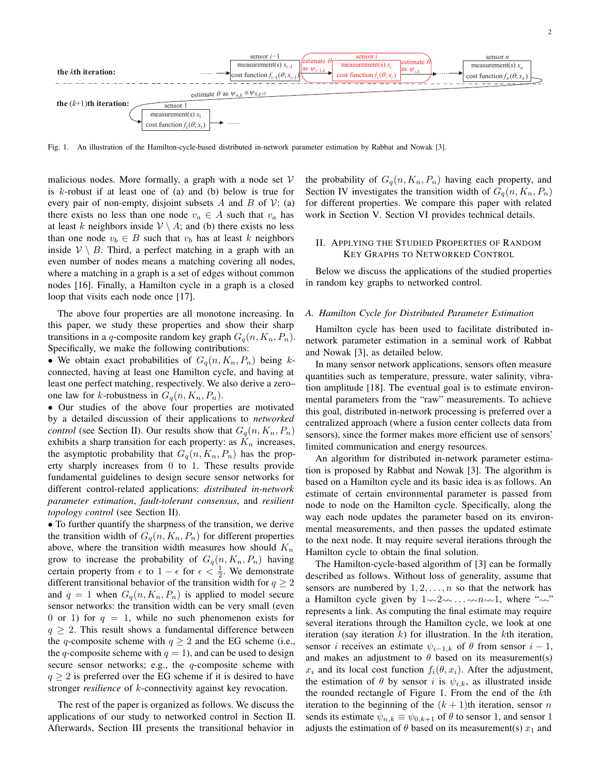

<span id="page-1-1"></span>Fig. 1. An illustration of the Hamilton-cycle-based distributed in-network parameter estimation by Rabbat and Nowak [\[3\]](#page-8-14).

malicious nodes. More formally, a graph with a node set  $V$ is k-robust if at least one of (a) and (b) below is true for every pair of non-empty, disjoint subsets  $A$  and  $B$  of  $V$ : (a) there exists no less than one node  $v_a \in A$  such that  $v_a$  has at least k neighbors inside  $V \setminus A$ ; and (b) there exists no less than one node  $v_b \in B$  such that  $v_b$  has at least k neighbors inside  $V \setminus B$ . Third, a perfect matching in a graph with an even number of nodes means a matching covering all nodes, where a matching in a graph is a set of edges without common nodes [\[16\]](#page-8-15). Finally, a Hamilton cycle in a graph is a closed loop that visits each node once [\[17\]](#page-8-16).

The above four properties are all monotone increasing. In this paper, we study these properties and show their sharp transitions in a q-composite random key graph  $G_q(n, K_n, P_n)$ . Specifically, we make the following contributions:

• We obtain exact probabilities of  $G_q(n, K_n, P_n)$  being kconnected, having at least one Hamilton cycle, and having at least one perfect matching, respectively. We also derive a zero– one law for k-robustness in  $G_q(n, K_n, P_n)$ .

• Our studies of the above four properties are motivated by a detailed discussion of their applications to *networked control* (see Section [II\)](#page-1-0). Our results show that  $G_q(n, K_n, P_n)$ exhibits a sharp transition for each property: as  $K_n$  increases, the asymptotic probability that  $G_q(n, K_n, P_n)$  has the property sharply increases from 0 to 1. These results provide fundamental guidelines to design secure sensor networks for different control-related applications: *distributed in-network parameter estimation*, *fault-tolerant consensus*, and *resilient topology control* (see Section [II\)](#page-1-0).

• To further quantify the sharpness of the transition, we derive the transition width of  $G_q(n, K_n, P_n)$  for different properties above, where the transition width measures how should  $K_n$ grow to increase the probability of  $G_q(n, K_n, P_n)$  having certain property from  $\epsilon$  to  $1 - \epsilon$  for  $\epsilon < \frac{1}{2}$ . We demonstrate different transitional behavior of the transition width for  $q \geq 2$ and  $q = 1$  when  $G_q(n, K_n, P_n)$  is applied to model secure sensor networks: the transition width can be very small (even 0 or 1) for  $q = 1$ , while no such phenomenon exists for  $q \geq 2$ . This result shows a fundamental difference between the q-composite scheme with  $q \ge 2$  and the EG scheme (i.e., the q-composite scheme with  $q = 1$ ), and can be used to design secure sensor networks; e.g., the q-composite scheme with  $q \geq 2$  is preferred over the EG scheme if it is desired to have stronger *resilience* of k-connectivity against key revocation.

The rest of the paper is organized as follows. We discuss the applications of our study to networked control in Section [II.](#page-1-0) Afterwards, Section [III](#page-3-0) presents the transitional behavior in

the probability of  $G_q(n, K_n, P_n)$  having each property, and Section [IV](#page-4-0) investigates the transition width of  $G_q(n, K_n, P_n)$ for different properties. We compare this paper with related work in Section [V.](#page-6-0) Section [VI](#page-7-0) provides technical details.

### <span id="page-1-0"></span>II. APPLYING THE STUDIED PROPERTIES OF RANDOM KEY GRAPHS TO NETWORKED CONTROL

Below we discuss the applications of the studied properties in random key graphs to networked control.

#### *A. Hamilton Cycle for Distributed Parameter Estimation*

Hamilton cycle has been used to facilitate distributed innetwork parameter estimation in a seminal work of Rabbat and Nowak [\[3\]](#page-8-14), as detailed below.

In many sensor network applications, sensors often measure quantities such as temperature, pressure, water salinity, vibration amplitude [\[18\]](#page-9-0). The eventual goal is to estimate environmental parameters from the "raw" measurements. To achieve this goal, distributed in-network processing is preferred over a centralized approach (where a fusion center collects data from sensors), since the former makes more efficient use of sensors' limited communication and energy resources.

An algorithm for distributed in-network parameter estimation is proposed by Rabbat and Nowak [\[3\]](#page-8-14). The algorithm is based on a Hamilton cycle and its basic idea is as follows. An estimate of certain environmental parameter is passed from node to node on the Hamilton cycle. Specifically, along the way each node updates the parameter based on its environmental measurements, and then passes the updated estimate to the next node. It may require several iterations through the Hamilton cycle to obtain the final solution.

The Hamilton-cycle-based algorithm of [\[3\]](#page-8-14) can be formally described as follows. Without loss of generality, assume that sensors are numbered by  $1, 2, \ldots, n$  so that the network has a Hamilton cycle given by  $1\sim 2\sim \ldots \sim n\sim 1$ , where "∼∼" represents a link. As computing the final estimate may require several iterations through the Hamilton cycle, we look at one iteration (say iteration  $k$ ) for illustration. In the  $k$ th iteration, sensor *i* receives an estimate  $\psi_{i-1,k}$  of  $\theta$  from sensor  $i-1$ , and makes an adjustment to  $\theta$  based on its measurement(s)  $x_i$  and its local cost function  $f_i(\theta, x_i)$ . After the adjustment, the estimation of  $\theta$  by sensor i is  $\psi_{i,k}$ , as illustrated inside the rounded rectangle of Figure [1.](#page-1-1) From the end of the kth iteration to the beginning of the  $(k + 1)$ th iteration, sensor n sends its estimate  $\psi_{n,k} \equiv \psi_{0,k+1}$  of  $\theta$  to sensor 1, and sensor 1 adjusts the estimation of  $\theta$  based on its measurement(s)  $x_1$  and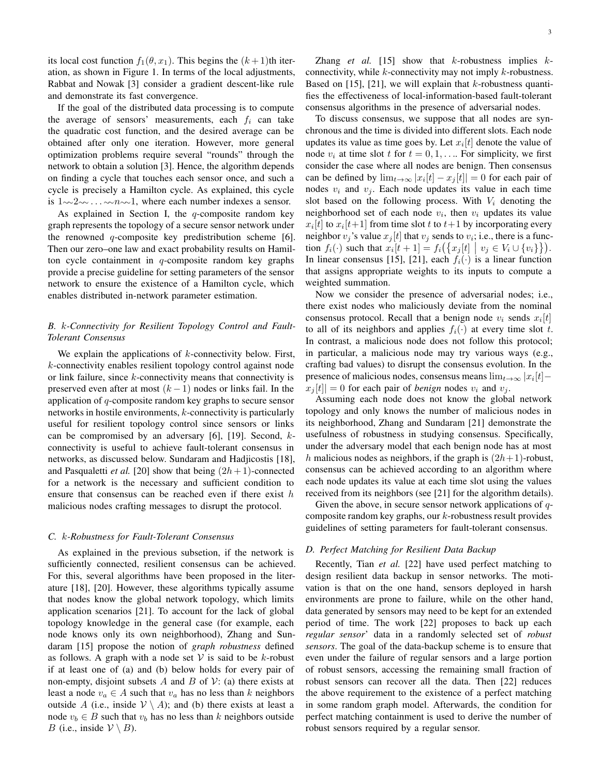its local cost function  $f_1(\theta, x_1)$ . This begins the  $(k+1)$ th iteration, as shown in Figure [1.](#page-1-1) In terms of the local adjustments, Rabbat and Nowak [\[3\]](#page-8-14) consider a gradient descent-like rule and demonstrate its fast convergence.

If the goal of the distributed data processing is to compute the average of sensors' measurements, each  $f_i$  can take the quadratic cost function, and the desired average can be obtained after only one iteration. However, more general optimization problems require several "rounds" through the network to obtain a solution [\[3\]](#page-8-14). Hence, the algorithm depends on finding a cycle that touches each sensor once, and such a cycle is precisely a Hamilton cycle. As explained, this cycle is  $1\sim 2\sim \ldots \sim n\sim 1$ , where each number indexes a sensor.

As explained in Section [I,](#page-0-0) the  $q$ -composite random key graph represents the topology of a secure sensor network under the renowned  $q$ -composite key predistribution scheme [\[6\]](#page-8-2). Then our zero–one law and exact probability results on Hamilton cycle containment in  $q$ -composite random key graphs provide a precise guideline for setting parameters of the sensor network to ensure the existence of a Hamilton cycle, which enables distributed in-network parameter estimation.

# *B.* k*-Connectivity for Resilient Topology Control and Fault-Tolerant Consensus*

We explain the applications of  $k$ -connectivity below. First, k-connectivity enables resilient topology control against node or link failure, since  $k$ -connectivity means that connectivity is preserved even after at most  $(k-1)$  nodes or links fail. In the application of q-composite random key graphs to secure sensor networks in hostile environments, k-connectivity is particularly useful for resilient topology control since sensors or links can be compromised by an adversary [\[6\]](#page-8-2), [\[19\]](#page-9-1). Second, kconnectivity is useful to achieve fault-tolerant consensus in networks, as discussed below. Sundaram and Hadjicostis [\[18\]](#page-9-0), and Pasqualetti *et al.* [\[20\]](#page-9-2) show that being  $(2h + 1)$ -connected for a network is the necessary and sufficient condition to ensure that consensus can be reached even if there exist h malicious nodes crafting messages to disrupt the protocol.

#### *C.* k*-Robustness for Fault-Tolerant Consensus*

As explained in the previous subsetion, if the network is sufficiently connected, resilient consensus can be achieved. For this, several algorithms have been proposed in the literature [\[18\]](#page-9-0), [\[20\]](#page-9-2). However, these algorithms typically assume that nodes know the global network topology, which limits application scenarios [\[21\]](#page-9-3). To account for the lack of global topology knowledge in the general case (for example, each node knows only its own neighborhood), Zhang and Sundaram [\[15\]](#page-8-13) propose the notion of *graph robustness* defined as follows. A graph with a node set  $V$  is said to be  $k$ -robust if at least one of (a) and (b) below holds for every pair of non-empty, disjoint subsets A and B of  $\mathcal V$ : (a) there exists at least a node  $v_a \in A$  such that  $v_a$  has no less than k neighbors outside A (i.e., inside  $V \setminus A$ ); and (b) there exists at least a node  $v_b \in B$  such that  $v_b$  has no less than k neighbors outside B (i.e., inside  $V \setminus B$ ).

Zhang *et al.* [\[15\]](#page-8-13) show that  $k$ -robustness implies  $k$ connectivity, while  $k$ -connectivity may not imply  $k$ -robustness. Based on [\[15\]](#page-8-13), [\[21\]](#page-9-3), we will explain that  $k$ -robustness quantifies the effectiveness of local-information-based fault-tolerant consensus algorithms in the presence of adversarial nodes.

To discuss consensus, we suppose that all nodes are synchronous and the time is divided into different slots. Each node updates its value as time goes by. Let  $x_i[t]$  denote the value of node  $v_i$  at time slot t for  $t = 0, 1, \ldots$  For simplicity, we first consider the case where all nodes are benign. Then consensus can be defined by  $\lim_{t\to\infty} |x_i[t] - x_j[t]| = 0$  for each pair of nodes  $v_i$  and  $v_j$ . Each node updates its value in each time slot based on the following process. With  $V_i$  denoting the neighborhood set of each node  $v_i$ , then  $v_i$  updates its value  $x_i[t]$  to  $x_i[t+1]$  from time slot t to  $t+1$  by incorporating every neighbor  $v_j$ 's value  $x_j[t]$  that  $v_j$  sends to  $v_i$ ; i.e., there is a function  $f_i(\cdot)$  such that  $x_i[t+1] = f_i(\lbrace x_j[t] \mid v_j \in V_i \cup \lbrace v_i \rbrace \rbrace)$ . In linear consensus [\[15\]](#page-8-13), [\[21\]](#page-9-3), each  $f_i(\cdot)$  is a linear function that assigns appropriate weights to its inputs to compute a weighted summation.

Now we consider the presence of adversarial nodes; i.e., there exist nodes who maliciously deviate from the nominal consensus protocol. Recall that a benign node  $v_i$  sends  $x_i[t]$ to all of its neighbors and applies  $f_i(\cdot)$  at every time slot t. In contrast, a malicious node does not follow this protocol; in particular, a malicious node may try various ways (e.g., crafting bad values) to disrupt the consensus evolution. In the presence of malicious nodes, consensus means  $\lim_{t\to\infty} |x_i[t]$  $x_j[t] = 0$  for each pair of *benign* nodes  $v_i$  and  $v_j$ .

Assuming each node does not know the global network topology and only knows the number of malicious nodes in its neighborhood, Zhang and Sundaram [\[21\]](#page-9-3) demonstrate the usefulness of robustness in studying consensus. Specifically, under the adversary model that each benign node has at most h malicious nodes as neighbors, if the graph is  $(2h+1)$ -robust, consensus can be achieved according to an algorithm where each node updates its value at each time slot using the values received from its neighbors (see [\[21\]](#page-9-3) for the algorithm details).

Given the above, in secure sensor network applications of  $q$ composite random key graphs, our  $k$ -robustness result provides guidelines of setting parameters for fault-tolerant consensus.

#### *D. Perfect Matching for Resilient Data Backup*

Recently, Tian *et al.* [\[22\]](#page-9-4) have used perfect matching to design resilient data backup in sensor networks. The motivation is that on the one hand, sensors deployed in harsh environments are prone to failure, while on the other hand, data generated by sensors may need to be kept for an extended period of time. The work [\[22\]](#page-9-4) proposes to back up each *regular sensor*' data in a randomly selected set of *robust sensors*. The goal of the data-backup scheme is to ensure that even under the failure of regular sensors and a large portion of robust sensors, accessing the remaining small fraction of robust sensors can recover all the data. Then [\[22\]](#page-9-4) reduces the above requirement to the existence of a perfect matching in some random graph model. Afterwards, the condition for perfect matching containment is used to derive the number of robust sensors required by a regular sensor.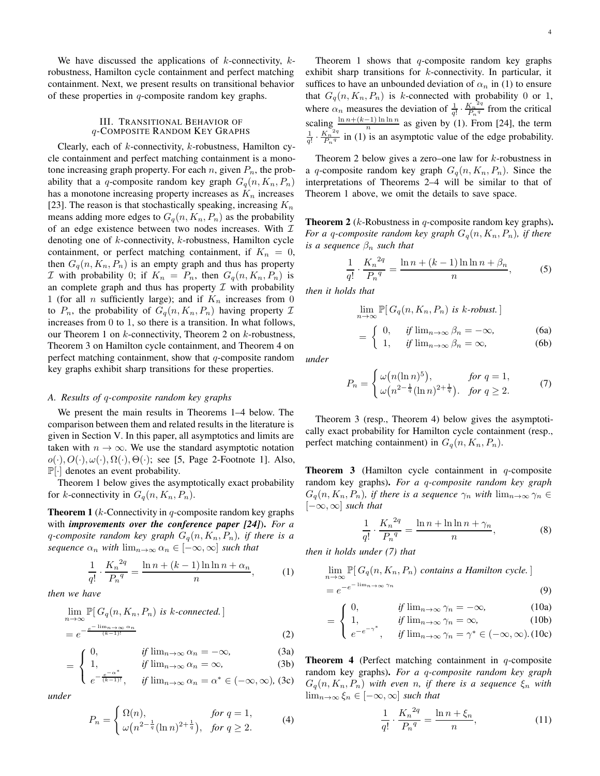We have discussed the applications of  $k$ -connectivity,  $k$ robustness, Hamilton cycle containment and perfect matching containment. Next, we present results on transitional behavior of these properties in q-composite random key graphs.

#### III. TRANSITIONAL BEHAVIOR OF q-COMPOSITE RANDOM KEY GRAPHS

<span id="page-3-0"></span>Clearly, each of  $k$ -connectivity,  $k$ -robustness, Hamilton cycle containment and perfect matching containment is a monotone increasing graph property. For each n, given  $P_n$ , the probability that a q-composite random key graph  $G_q(n, K_n, P_n)$ has a monotone increasing property increases as  $K_n$  increases [\[23\]](#page-9-5). The reason is that stochastically speaking, increasing  $K_n$ means adding more edges to  $G_q(n, K_n, P_n)$  as the probability of an edge existence between two nodes increases. With  $\mathcal I$ denoting one of  $k$ -connectivity,  $k$ -robustness, Hamilton cycle containment, or perfect matching containment, if  $K_n = 0$ , then  $G_q(n, K_n, P_n)$  is an empty graph and thus has property I with probability 0; if  $K_n = P_n$ , then  $G_q(n, K_n, P_n)$  is an complete graph and thus has property  $\mathcal I$  with probability 1 (for all *n* sufficiently large); and if  $K_n$  increases from 0 to  $P_n$ , the probability of  $G_q(n, K_n, P_n)$  having property  $\mathcal I$ increases from 0 to 1, so there is a transition. In what follows, our Theorem [1](#page-3-1) on  $k$ -connectivity, Theorem [2](#page-3-2) on  $k$ -robustness, Theorem [3](#page-3-3) on Hamilton cycle containment, and Theorem [4](#page-3-4) on perfect matching containment, show that  $q$ -composite random key graphs exhibit sharp transitions for these properties.

#### *A. Results of* q*-composite random key graphs*

We present the main results in Theorems [1](#page-3-1)[–4](#page-3-4) below. The comparison between them and related results in the literature is given in Section [V.](#page-6-0) In this paper, all asymptotics and limits are taken with  $n \to \infty$ . We use the standard asymptotic notation  $o(\cdot), O(\cdot), \omega(\cdot), \Omega(\cdot), \Theta(\cdot)$ ; see [\[5,](#page-8-1) Page 2-Footnote 1]. Also, <sup>P</sup>[·] denotes an event probability.

Theorem [1](#page-3-1) below gives the asymptotically exact probability for k-connectivity in  $G_q(n, K_n, P_n)$ .

<span id="page-3-1"></span>**Theorem 1** ( $k$ -Connectivity in q-composite random key graphs with *improvements over the conference paper [\[24\]](#page-9-6)*). *For a* q-composite random key graph  $G_q(n, K_n, P_n)$ , if there is a *sequence*  $\alpha_n$  *with*  $\lim_{n\to\infty} \alpha_n \in [-\infty, \infty]$  *such that* 

$$
\frac{1}{q!} \cdot \frac{K_n^{2q}}{P_n^{q}} = \frac{\ln n + (k-1)\ln \ln n + \alpha_n}{n},
$$
 (1)

*then we have*

$$
\lim_{n \to \infty} \mathbb{P}[G_q(n, K_n, P_n) \text{ is } k\text{-connected.}]
$$
\n
$$
= e^{-\frac{e^{-\lim_{n \to \infty} \alpha_n}}{(k-1)!}}
$$
\n(2)

$$
\int_{0}^{R} \frac{df \lim_{n \to \infty} \alpha_n = -\infty}{\text{(3a)}} \tag{3b}
$$

<span id="page-3-12"></span>
$$
= \begin{cases} 1, & if \lim_{n \to \infty} \alpha_n = \infty, \\ e^{-\frac{e^{-\alpha^*}}{(k-1)!}} & if \lim_{n \to \infty} \alpha_n = \alpha^* \in (-\infty, \infty). \ (3c) \end{cases}
$$

$$
\int e^{-\frac{e^{-\alpha}}{(k-1)!}}, \quad \text{if } \lim_{n \to \infty} \alpha_n = \alpha^* \in (-\infty, \infty), \text{ (3c)}
$$

*under*

$$
P_n = \begin{cases} \Omega(n), & \text{for } q = 1, \\ \omega(n^{2 - \frac{1}{q}} (\ln n)^{2 + \frac{1}{q}}), & \text{for } q \ge 2. \end{cases}
$$
 (4)

Theorem [1](#page-3-1) shows that q-composite random key graphs exhibit sharp transitions for  $k$ -connectivity. In particular, it suffices to have an unbounded deviation of  $\alpha_n$  in [\(1\)](#page-3-5) to ensure that  $G_q(n, K_n, P_n)$  is k-connected with probability 0 or 1, where  $\alpha_n$  measures the deviation of  $\frac{1}{q!} \cdot \frac{K_n^{2q}}{P_n^{q}}$  $\frac{R_n}{P_n q}$  from the critical scaling  $\frac{\ln n + (k-1)\ln \ln n}{n}$  as given by [\(1\)](#page-3-5). From [\[24\]](#page-9-6), the term  $\frac{1}{q!} \cdot \frac{{K_n}^{2q}}{{P_n} ^{q}}$  $\frac{K_n^{2q}}{P_n^q}$  in [\(1\)](#page-3-5) is an asymptotic value of the edge probability.

Theorem [2](#page-3-2) below gives a zero–one law for  $k$ -robustness in a q-composite random key graph  $G_q(n, K_n, P_n)$ . Since the interpretations of Theorems [2](#page-3-2)[–4](#page-3-4) will be similar to that of Theorem [1](#page-3-1) above, we omit the details to save space.

<span id="page-3-2"></span>**Theorem 2** ( $k$ -Robustness in  $q$ -composite random key graphs). *For a* q-composite random key graph  $G_q(n, K_n, P_n)$ , if there *is a sequence*  $\beta_n$  *such that* 

$$
\frac{1}{q!} \cdot \frac{K_n^{2q}}{P_n^{q}} = \frac{\ln n + (k-1)\ln \ln n + \beta_n}{n},
$$
 (5)

*then it holds that*

<span id="page-3-8"></span>
$$
\lim_{n \to \infty} \mathbb{P}[G_q(n, K_n, P_n) \text{ is } k\text{-robust.}]
$$
\n
$$
= \begin{cases} 0, & \text{if } \lim_{n \to \infty} \beta_n = -\infty, \\ 1, & \text{if } \lim_{n \to \infty} \beta_n = \infty, \end{cases} \tag{6a}
$$

<span id="page-3-13"></span>*under*

<span id="page-3-6"></span>
$$
P_n = \begin{cases} \omega(n(\ln n)^5), & \text{for } q = 1, \\ \omega(n^{2 - \frac{1}{q}}(\ln n)^{2 + \frac{1}{q}}), & \text{for } q \ge 2. \end{cases}
$$
 (7)

Theorem [3](#page-3-3) (resp., Theorem [4\)](#page-3-4) below gives the asymptotically exact probability for Hamilton cycle containment (resp., perfect matching containment) in  $G_q(n, K_n, P_n)$ .

<span id="page-3-3"></span>**Theorem 3** (Hamilton cycle containment in  $q$ -composite random key graphs). *For a* q*-composite random key graph*  $G_q(n, K_n, P_n)$ , if there is a sequence  $\gamma_n$  with  $\lim_{n\to\infty}\gamma_n \in$ [−∞, ∞] *such that*

<span id="page-3-14"></span><span id="page-3-9"></span>
$$
\frac{1}{q!} \cdot \frac{{K_n}^{2q}}{{P_n}^q} = \frac{\ln n + \ln \ln n + \gamma_n}{n},
$$
 (8)

<span id="page-3-5"></span>*then it holds under [\(7\)](#page-3-6) that*

<span id="page-3-15"></span>=

$$
\lim_{n \to \infty} \mathbb{P}[G_q(n, K_n, P_n) \text{ contains a Hamilton cycle.}]
$$
  
=  $e^{-e^{-\lim_{n \to \infty} \gamma_n}}$  (9)

$$
\int_{1}^{0} , \qquad \qquad \text{if } \lim_{n \to \infty} \gamma_n = -\infty, \tag{10a}
$$

$$
\left\{ \begin{array}{ll} 1, & \text{if } \lim_{n \to \infty} \gamma_n = \infty, \\ 0, & \text{otherwise} \end{array} \right. \tag{10b}
$$

$$
\left( e^{-e^{-\gamma}} \right), \quad \text{if } \lim_{n \to \infty} \gamma_n = \gamma^* \in (-\infty, \infty). (10c)
$$

<span id="page-3-11"></span><span id="page-3-7"></span><span id="page-3-4"></span>**Theorem 4** (Perfect matching containment in  $q$ -composite random key graphs). *For a* q*-composite random key graph*  $G_q(n, K_n, P_n)$  *with even n, if there is a sequence*  $\xi_n$  *with*  $\lim_{n\to\infty}\xi_n\in[-\infty,\infty]$  *such that* 

<span id="page-3-10"></span>
$$
\frac{1}{q!} \cdot \frac{{K_n}^{2q}}{{P_n}^q} = \frac{\ln n + {\xi_n}}{n},\tag{11}
$$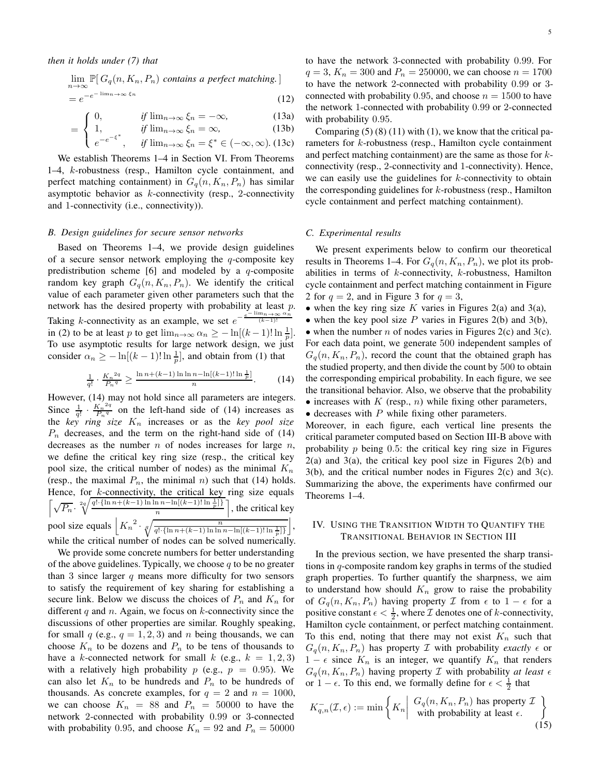$$
\lim_{n \to \infty} \mathbb{P}[G_q(n, K_n, P_n) \text{ contains a perfect matching.}]
$$
  
=  $e^{-e^{-\lim_{n \to \infty} \xi_n}}$  (12)

$$
\int 0, \qquad \qquad \text{if } \lim_{n \to \infty} \xi_n = -\infty, \tag{13a}
$$

<span id="page-4-4"></span>
$$
= \begin{cases} 1, & \text{if } \lim_{n \to \infty} \xi_n = \infty, \\ e^{-e^{-\xi^*}}, & \text{if } \lim_{n \to \infty} \xi_n = \xi^* \in (-\infty, \infty). \ (136) \end{cases}
$$

$$
\int e^{-e^{-\xi}}, \quad \text{if } \lim_{n \to \infty} \xi_n = \xi^* \in (-\infty, \infty). \text{ (13c)}
$$

We establish Theorems [1–](#page-3-1)[4](#page-3-4) in Section [VI.](#page-7-0) From Theorems [1](#page-3-1)[–4,](#page-3-4) k-robustness (resp., Hamilton cycle containment, and perfect matching containment) in  $G_q(n, K_n, P_n)$  has similar asymptotic behavior as  $k$ -connectivity (resp., 2-connectivity and 1-connectivity (i.e., connectivity)).

# <span id="page-4-2"></span>*B. Design guidelines for secure sensor networks*

Based on Theorems [1–](#page-3-1)[4,](#page-3-4) we provide design guidelines of a secure sensor network employing the  $q$ -composite key predistribution scheme [\[6\]](#page-8-2) and modeled by a  $q$ -composite random key graph  $G_q(n, K_n, P_n)$ . We identify the critical value of each parameter given other parameters such that the network has the desired property with probability at least p. Taking k-connectivity as an example, we set  $e^{-\frac{e}{c}}$  $-\frac{e-\lim_{n\to\infty}\alpha_n}{(k-1)!}$  $(k-1)!$ in [\(2\)](#page-3-7) to be at least p to get  $\lim_{n\to\infty} \alpha_n \ge -\ln[(k-1)! \ln \frac{1}{p}].$ To use asymptotic results for large network design, we just consider  $\alpha_n \ge -\ln[(k-1)! \ln \frac{1}{p}]$ , and obtain from [\(1\)](#page-3-5) that

$$
\frac{1}{q!} \cdot \frac{K_n^{2q}}{P_n^{q}} \ge \frac{\ln n + (k-1)\ln \ln n - \ln[(k-1)! \ln \frac{1}{p}]}{n}.
$$
 (14)

However, [\(14\)](#page-4-1) may not hold since all parameters are integers. Since  $\frac{1}{q!} \cdot \frac{K_n^{2q}}{P_n^q}$  $\frac{X_n^{1/2}}{P_n^{1/4}}$  on the left-hand side of [\(14\)](#page-4-1) increases as the  $key$  ring size  $K_n$  increases or as the *key pool size*  $P_n$  decreases, and the term on the right-hand side of [\(14\)](#page-4-1) decreases as the number  $n$  of nodes increases for large  $n$ , we define the critical key ring size (resp., the critical key pool size, the critical number of nodes) as the minimal  $K_n$ (resp., the maximal  $P_n$ , the minimal n) such that [\(14\)](#page-4-1) holds. Hence, for  $k$ -connectivity, the critical key ring size equals  $\left[\sqrt{p}\right]_2^2\sqrt{q!\cdot\{\ln n+(k-1)\ln\ln n-\ln[(k-1)!\ln\frac{1}{p}]\}}$  $P_n \cdot \sqrt[2]{\frac{q \cdot (\ln n + (n-1)\ln \ln n)}{n}}$  $\Big]$ , the critical key pool size equals  $\left| K_n^2 \cdot \sqrt[q]{\frac{\eta!}{q! \cdot \{\ln n + (k-1) \ln \ln n\}}} \right|$  $q! \cdot {\ln n + (k-1) \ln \ln n - \ln[(k-1)! \ln \frac{1}{p}]}$  $\cdot$ while the critical number of nodes can be solved numerically.

We provide some concrete numbers for better understanding of the above guidelines. Typically, we choose  $q$  to be no greater than 3 since larger  $q$  means more difficulty for two sensors to satisfy the requirement of key sharing for establishing a secure link. Below we discuss the choices of  $P_n$  and  $K_n$  for different q and  $n$ . Again, we focus on  $k$ -connectivity since the discussions of other properties are similar. Roughly speaking, for small q (e.g.,  $q = 1, 2, 3$ ) and n being thousands, we can choose  $K_n$  to be dozens and  $P_n$  to be tens of thousands to have a k-connected network for small k (e.g.,  $k = 1, 2, 3$ ) with a relatively high probability  $p$  (e.g.,  $p = 0.95$ ). We can also let  $K_n$  to be hundreds and  $P_n$  to be hundreds of thousands. As concrete examples, for  $q = 2$  and  $n = 1000$ , we can choose  $K_n = 88$  and  $P_n = 50000$  to have the network 2-connected with probability 0.99 or 3-connected with probability 0.95, and choose  $K_n = 92$  and  $P_n = 50000$ 

<span id="page-4-3"></span>to have the network 3-connected with probability 0.99. For  $q = 3$ ,  $K_n = 300$  and  $P_n = 250000$ , we can choose  $n = 1700$ to have the network 2-connected with probability 0.99 or 3 connected with probability 0.95, and choose  $n = 1500$  to have the network 1-connected with probability 0.99 or 2-connected with probability 0.95.

Comparing  $(5)$   $(8)$   $(11)$  with  $(1)$ , we know that the critical parameters for  $k$ -robustness (resp., Hamilton cycle containment and perfect matching containment) are the same as those for kconnectivity (resp., 2-connectivity and 1-connectivity). Hence, we can easily use the guidelines for  $k$ -connectivity to obtain the corresponding guidelines for  $k$ -robustness (resp., Hamilton cycle containment and perfect matching containment).

### *C. Experimental results*

We present experiments below to confirm our theoretical results in Theorems [1–](#page-3-1)[4.](#page-3-4) For  $G_q(n, K_n, P_n)$ , we plot its probabilities in terms of  $k$ -connectivity,  $k$ -robustness, Hamilton cycle containment and perfect matching containment in Figure [2](#page-5-0) for  $q = 2$ , and in Figure [3](#page-5-1) for  $q = 3$ ,

- when the key ring size K varies in Figures [2\(a\)](#page-5-2) and [3\(a\),](#page-5-3)
- when the key pool size P varies in Figures [2\(b\)](#page-5-4) and [3\(b\),](#page-5-5) • when the number  $n$  of nodes varies in Figures [2\(c\)](#page-5-6) and [3\(c\).](#page-5-7) For each data point, we generate 500 independent samples of  $G_q(n, K_n, P_n)$ , record the count that the obtained graph has the studied property, and then divide the count by 500 to obtain the corresponding empirical probability. In each figure, we see the transitional behavior. Also, we observe that the probability  $\bullet$  increases with  $K$  (resp.,  $n$ ) while fixing other parameters,
- <span id="page-4-1"></span> $\bullet$  decreases with  $P$  while fixing other parameters.

Moreover, in each figure, each vertical line presents the critical parameter computed based on Section [III-B](#page-4-2) above with probability  $p$  being 0.5: the critical key ring size in Figures  $2(a)$  and  $3(a)$ , the critical key pool size in Figures  $2(b)$  and [3\(b\),](#page-5-5) and the critical number nodes in Figures [2\(c\)](#page-5-6) and [3\(c\).](#page-5-7) Summarizing the above, the experiments have confirmed our Theorems [1–](#page-3-1)[4.](#page-3-4)

# <span id="page-4-0"></span>IV. USING THE TRANSITION WIDTH TO QUANTIFY THE TRANSITIONAL BEHAVIOR IN SECTION [III](#page-3-0)

In the previous section, we have presented the sharp transitions in q-composite random key graphs in terms of the studied graph properties. To further quantify the sharpness, we aim to understand how should  $K_n$  grow to raise the probability of  $G_q(n, K_n, P_n)$  having property  $\mathcal I$  from  $\epsilon$  to  $1 - \epsilon$  for a positive constant  $\epsilon < \frac{1}{2}$ , where  $\mathcal I$  denotes one of k-connectivity, Hamilton cycle containment, or perfect matching containment. To this end, noting that there may not exist  $K_n$  such that  $G_q(n, K_n, P_n)$  has property  $\mathcal I$  with probability *exactly*  $\epsilon$  or  $1 - \epsilon$  since  $K_n$  is an integer, we quantify  $K_n$  that renders  $G_q(n, K_n, P_n)$  having property  $\mathcal I$  with probability *at least*  $\epsilon$ or  $1 - \epsilon$ . To this end, we formally define for  $\epsilon < \frac{1}{2}$  that

<span id="page-4-5"></span>
$$
K_{q,n}^-(\mathcal{I}, \epsilon) := \min \left\{ K_n \middle| \begin{array}{c} G_q(n, K_n, P_n) \text{ has property } \mathcal{I} \\ \text{with probability at least } \epsilon. \end{array} \right\}
$$
(15)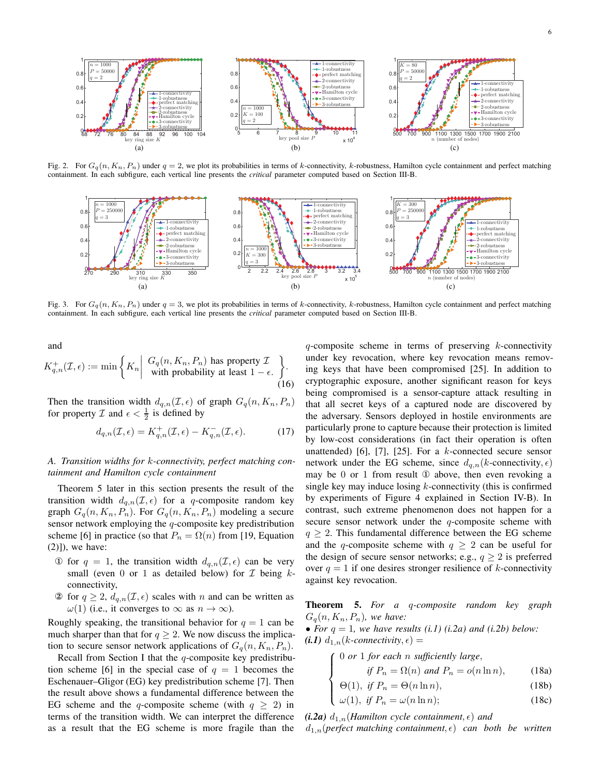

<span id="page-5-2"></span>Fig. 2. For  $G_q(n, K_n, P_n)$  under  $q = 2$ , we plot its probabilities in terms of k-connectivity, k-robustness, Hamilton cycle containment and perfect matching containment. In each subfigure, each vertical line presents the *critical* parameter computed based on Section [III-B.](#page-4-2)

<span id="page-5-4"></span><span id="page-5-0"></span>

<span id="page-5-3"></span><span id="page-5-1"></span>Fig. 3. For  $G_q(n, K_n, P_n)$  under  $q = 3$ , we plot its probabilities in terms of k-connectivity, k-robustness, Hamilton cycle containment and perfect matching containment. In each subfigure, each vertical line presents the *critical* parameter computed based on Section [III-B.](#page-4-2)

and

$$
K_{q,n}^{+}(\mathcal{I}, \epsilon) := \min \left\{ K_n \middle| \begin{array}{c} G_q(n, K_n, P_n) \text{ has property } \mathcal{I} \\ \text{with probability at least } 1 - \epsilon. \end{array} \right\}.
$$
\n(16)

Then the transition width  $d_{q,n}(\mathcal{I}, \epsilon)$  of graph  $G_q(n, K_n, P_n)$ for property  $\mathcal I$  and  $\epsilon < \frac{1}{2}$  is defined by

$$
d_{q,n}(\mathcal{I}, \epsilon) = K_{q,n}^+(\mathcal{I}, \epsilon) - K_{q,n}^-(\mathcal{I}, \epsilon). \tag{17}
$$

#### <span id="page-5-10"></span>*A. Transition widths for* k*-connectivity, perfect matching containment and Hamilton cycle containment*

Theorem [5](#page-5-8) later in this section presents the result of the transition width  $d_{q,n}(\mathcal{I}, \epsilon)$  for a q-composite random key graph  $G_q(n, K_n, P_n)$ . For  $G_q(n, K_n, P_n)$  modeling a secure sensor network employing the  $q$ -composite key predistribution scheme [\[6\]](#page-8-2) in practice (so that  $P_n = \Omega(n)$  from [\[19,](#page-9-1) Equation (2)]), we have:

- ① for  $q = 1$ , the transition width  $d_{q,n}(\mathcal{I}, \epsilon)$  can be very small (even 0 or 1 as detailed below) for  $\mathcal I$  being  $k$ connectivity,
- **②** for  $q \ge 2$ ,  $d_{q,n}(\mathcal{I}, \epsilon)$  scales with *n* and can be written as  $\omega(1)$  (i.e., it converges to  $\infty$  as  $n \to \infty$ ).

Roughly speaking, the transitional behavior for  $q = 1$  can be much sharper than that for  $q \geq 2$ . We now discuss the implication to secure sensor network applications of  $G_q(n, K_n, P_n)$ .

Recall from Section [I](#page-0-0) that the  $q$ -composite key predistribu-tion scheme [\[6\]](#page-8-2) in the special case of  $q = 1$  becomes the Eschenauer–Gligor (EG) key predistribution scheme [\[7\]](#page-8-3). Then the result above shows a fundamental difference between the EG scheme and the q-composite scheme (with  $q \geq 2$ ) in terms of the transition width. We can interpret the difference as a result that the EG scheme is more fragile than the

<span id="page-5-12"></span><span id="page-5-11"></span><span id="page-5-7"></span><span id="page-5-6"></span><span id="page-5-5"></span>q-composite scheme in terms of preserving  $k$ -connectivity under key revocation, where key revocation means removing keys that have been compromised [\[25\]](#page-9-7). In addition to cryptographic exposure, another significant reason for keys being compromised is a sensor-capture attack resulting in that all secret keys of a captured node are discovered by the adversary. Sensors deployed in hostile environments are particularly prone to capture because their protection is limited by low-cost considerations (in fact their operation is often unattended) [\[6\]](#page-8-2), [\[7\]](#page-8-3), [\[25\]](#page-9-7). For a  $k$ -connected secure sensor network under the EG scheme, since  $d_{q,n}(k$ -connectivity,  $\epsilon)$ may be 0 or 1 from result ① above, then even revoking a single key may induce losing  $k$ -connectivity (this is confirmed by experiments of Figure [4](#page-6-1) explained in Section [IV-B\)](#page-6-2). In contrast, such extreme phenomenon does not happen for a secure sensor network under the *q*-composite scheme with  $q \geq 2$ . This fundamental difference between the EG scheme and the q-composite scheme with  $q \geq 2$  can be useful for the design of secure sensor networks; e.g.,  $q \ge 2$  is preferred over  $q = 1$  if one desires stronger resilience of k-connectivity against key revocation.

<span id="page-5-8"></span>Theorem 5. *For a* q*-composite random key graph*  $G_q(n, K_n, P_n)$ , we have:

• *For*  $q = 1$ *, we have results (i.1) (i.2a) and (i.2b) below: (i.1)*  $d_{1,n}(k\text{-}connectivity, \epsilon) =$ 

$$
\int 0 \text{ or } 1 \text{ for each } n \text{ sufficiently large,}
$$
  
if  $P_n = \Omega(n)$  and  $P_n = o(n \ln n)$ 

if 
$$
P_n = \Omega(n)
$$
 and  $P_n = o(n \ln n)$ , (18a)

$$
\Theta(1), \text{ if } P_n = \Theta(n \ln n), \tag{18b}
$$

<span id="page-5-9"></span>
$$
\begin{cases}\n\Theta(1), & \text{if } n = \Theta(n \ln n), \\
\omega(1), & \text{if } P_n = \omega(n \ln n);\n\end{cases}
$$
\n(18c)

*(i.2a)*  $d_{1,n}$  (Hamilton cycle containment,  $\epsilon$ ) and

 $d_{1,n}$ (*perfect matching containment*,  $\epsilon$ ) *can both be written*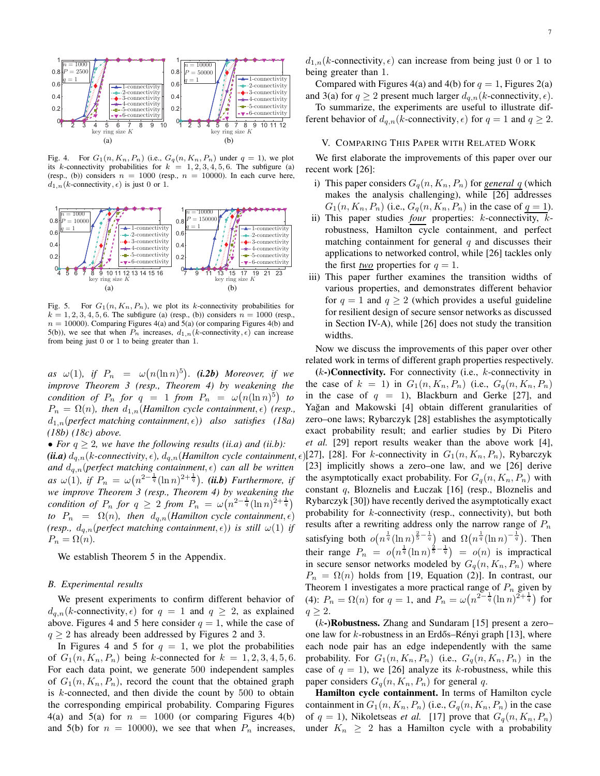

<span id="page-6-5"></span><span id="page-6-3"></span><span id="page-6-1"></span>Fig. 4. For  $G_1(n, K_n, P_n)$  (i.e.,  $G_q(n, K_n, P_n)$  under  $q = 1$ ), we plot its k-connectivity probabilities for  $k = 1, 2, 3, 4, 5, 6$ . The subfigure (a) (resp., (b)) considers  $n = 1000$  (resp.,  $n = 10000$ ). In each curve here,  $d_{1,n}(k$ -connectivity,  $\epsilon$ ) is just 0 or 1.



<span id="page-6-7"></span><span id="page-6-4"></span>Fig. 5. For  $G_1(n, K_n, P_n)$ , we plot its k-connectivity probabilities for  $k = 1, 2, 3, 4, 5, 6$ . The subfigure (a) (resp., (b)) considers  $n = 1000$  (resp.,  $n = 10000$ ). Comparing Figures [4\(a\)](#page-6-3) and [5\(a\)](#page-6-4) (or comparing Figures [4\(b\)](#page-6-5) and [5\(b\)\)](#page-6-6), we see that when  $P_n$  increases,  $d_{1,n}(k$ -connectivity,  $\epsilon$ ) can increase from being just 0 or 1 to being greater than 1.

*as*  $\omega(1)$ , if  $P_n = \omega(n(\ln n)^5)$ . (i.2b) Moreover, if we *improve Theorem [3](#page-3-3) (resp., Theorem [4\)](#page-3-4) by weakening the condition of*  $P_n$  *for*  $q = 1$  *from*  $P_n = \omega(n(\ln n)^5)$  *to*  $P_n = \Omega(n)$ , then  $d_{1,n}$  (Hamilton cycle containment,  $\epsilon$ ) (resp.,  $d_{1,n}$ (*perfect matching containment*,  $\epsilon$ )) also satisfies [\(18a\)](#page-5-9) *[\(18b\)](#page-5-9) [\(18c\)](#page-5-9) above.*

• For  $q \geq 2$ , we have the following results (ii.a) and (ii.b): *(ii.a)*  $d_{q,n}(k$ -connectivity,  $\epsilon$ ),  $d_{q,n}(Hamilton cycle\ containment)$ , *and*  $d_{q,n}$ (*perfect matching containment*,  $\epsilon$ ) *can all be written as*  $\omega(1)$ , if  $P_n = \omega(n^{2-\frac{1}{q}}(\ln n)^{2+\frac{1}{q}})$ . (ii.b) Furthermore, if *we improve Theorem [3](#page-3-3) (resp., Theorem [4\)](#page-3-4) by weakening the condition of*  $P_n$  *for*  $q \geq 2$  *from*  $P_n = \omega(n^{2-\frac{1}{q}}(\ln n)^{2+\frac{1}{q}})$ *to*  $P_n = \Omega(n)$ *, then*  $d_{q,n}$  (*Hamilton cycle containment,*  $\epsilon$ ) *(resp.,*  $d_{q,n}$ *(perfect matching containment,*  $\epsilon$ *)) is still*  $\omega(1)$  *if*  $P_n = \Omega(n)$ .

We establish Theorem [5](#page-5-8) in the Appendix.

#### <span id="page-6-2"></span>*B. Experimental results*

We present experiments to confirm different behavior of  $d_{q,n}(k$ -connectivity,  $\epsilon$ ) for  $q = 1$  and  $q \geq 2$ , as explained above. Figures [4](#page-6-1) and [5](#page-6-7) here consider  $q = 1$ , while the case of  $q \geq 2$  $q \geq 2$  has already been addressed by Figures 2 and [3.](#page-5-1)

In Figures [4](#page-6-1) and [5](#page-6-7) for  $q = 1$ , we plot the probabilities of  $G_1(n, K_n, P_n)$  being k-connected for  $k = 1, 2, 3, 4, 5, 6$ . For each data point, we generate 500 independent samples of  $G_1(n, K_n, P_n)$ , record the count that the obtained graph is  $k$ -connected, and then divide the count by  $500$  to obtain the corresponding empirical probability. Comparing Figures [4\(a\)](#page-6-3) and [5\(a\)](#page-6-4) for  $n = 1000$  (or comparing Figures [4\(b\)](#page-6-5) and [5\(b\)](#page-6-6) for  $n = 10000$ , we see that when  $P_n$  increases,  $d_{1,n}(k$ -connectivity,  $\epsilon$ ) can increase from being just 0 or 1 to being greater than 1.

Compared with Figures [4\(a\)](#page-6-3) and [4\(b\)](#page-6-5) for  $q = 1$ , Figures [2\(a\)](#page-5-2) and [3\(a\)](#page-5-3) for  $q \ge 2$  present much larger  $d_{q,n}(k$ -connectivity,  $\epsilon$ ).

To summarize, the experiments are useful to illustrate different behavior of  $d_{q,n}(k)$ -connectivity,  $\epsilon$ ) for  $q = 1$  and  $q \ge 2$ .

#### <span id="page-6-0"></span>V. COMPARING THIS PAPER WITH RELATED WORK

We first elaborate the improvements of this paper over our recent work [\[26\]](#page-9-8):

- i) This paper considers  $G_q(n, K_n, P_n)$  for *general* q (which makes the analysis challenging), while  $\boxed{26}$  addresses  $G_1(n, K_n, P_n)$  (i.e.,  $G_q(n, K_n, P_n)$  in the case of  $q = 1$ ).
- ii) This paper studies *four* properties: k-connectivity, krobustness, Hamilton cycle containment, and perfect matching containment for general  $q$  and discusses their applications to networked control, while [\[26\]](#page-9-8) tackles only the first *two* properties for  $q = 1$ .
- <span id="page-6-6"></span>iii) This paper further examines the transition widths of various properties, and demonstrates different behavior for  $q = 1$  and  $q \ge 2$  (which provides a useful guideline for resilient design of secure sensor networks as discussed in Section [IV-A\)](#page-5-10), while [\[26\]](#page-9-8) does not study the transition widths.

Now we discuss the improvements of this paper over other related work in terms of different graph properties respectively.

 $(k-)$ Connectivity. For connectivity (i.e.,  $k$ -connectivity in the case of  $k = 1$ ) in  $G_1(n, K_n, P_n)$  (i.e.,  $G_q(n, K_n, P_n)$ ) in the case of  $q = 1$ ), Blackburn and Gerke [\[27\]](#page-9-9), and Yağan and Makowski [\[4\]](#page-8-0) obtain different granularities of zero–one laws; Rybarczyk [\[28\]](#page-9-10) establishes the asymptotically exact probability result; and earlier studies by Di Pitero *et al.* [\[29\]](#page-9-11) report results weaker than the above work [\[4\]](#page-8-0), [\[27\]](#page-9-9), [\[28\]](#page-9-10). For k-connectivity in  $G_1(n, K_n, P_n)$ , Rybarczyk [\[23\]](#page-9-5) implicitly shows a zero–one law, and we [\[26\]](#page-9-8) derive the asymptotically exact probability. For  $G_q(n, K_n, P_n)$  with constant q, Bloznelis and Łuczak [\[16\]](#page-8-15) (resp., Bloznelis and Rybarczyk [\[30\]](#page-9-12)) have recently derived the asymptotically exact probability for k-connectivity (resp., connectivity), but both results after a rewriting address only the narrow range of  $P_n$ satisfying both  $o(n^{\frac{1}{q}}(\ln n)^{\frac{2}{5}-\frac{1}{q}})$  and  $\Omega(n^{\frac{1}{q}}(\ln n)^{-\frac{1}{q}})$ . Then their range  $P_n = o(n^{\frac{1}{q}}(\ln n)^{\frac{2}{5}-\frac{1}{q}}) = o(n)$  is impractical in secure sensor networks modeled by  $G_q(n, K_n, P_n)$  where  $P_n = \Omega(n)$  holds from [\[19,](#page-9-1) Equation (2)]. In contrast, our Theorem [1](#page-3-1) investigates a more practical range of  $P_n$  given by [\(4\)](#page-3-11):  $P_n = \Omega(n)$  for  $q = 1$ , and  $P_n = \omega(n^{2-\frac{1}{q}}(\ln n)^{2+\frac{1}{q}})$  for  $q \geq 2$ .

 $(k-)$ **Robustness.** Zhang and Sundaram [\[15\]](#page-8-13) present a zero– one law for  $k$ -robustness in an Erdős–Rényi graph [\[13\]](#page-8-11), where each node pair has an edge independently with the same probability. For  $G_1(n, K_n, P_n)$  (i.e.,  $G_q(n, K_n, P_n)$  in the case of  $q = 1$ ), we [\[26\]](#page-9-8) analyze its k-robustness, while this paper considers  $G_q(n, K_n, P_n)$  for general q.

Hamilton cycle containment. In terms of Hamilton cycle containment in  $G_1(n, K_n, P_n)$  (i.e.,  $G_q(n, K_n, P_n)$ ) in the case of  $q = 1$ ), Nikoletseas *et al.* [\[17\]](#page-8-16) prove that  $G_q(n, K_n, P_n)$ under  $K_n \geq 2$  has a Hamilton cycle with a probability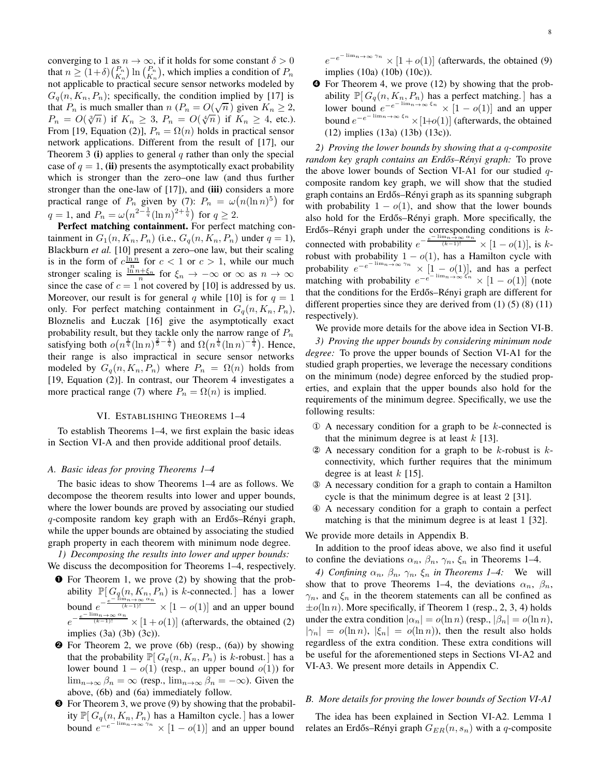converging to 1 as  $n \to \infty$ , if it holds for some constant  $\delta > 0$ that  $n \ge (1+\delta) {P_n \choose K_n}$  in  ${P_n \choose K_n}$ , which implies a condition of  $P_n$ not applicable to practical secure sensor networks modeled by  $G_q(n, K_n, P_n)$ ; specifically, the condition implied by [\[17\]](#page-8-16) is that  $P_n$  is much smaller than  $n (P_n = O(\sqrt{n}))$  given  $K_n \ge 2$ ,  $P_n = O(\sqrt[3]{n})$  if  $K_n \geq 3$ ,  $P_n = O(\sqrt[4]{n})$  if  $K_n \geq 4$ , etc.). From [\[19,](#page-9-1) Equation (2)],  $P_n = \Omega(n)$  holds in practical sensor network applications. Different from the result of [\[17\]](#page-8-16), our Theorem [3](#page-3-3) (i) applies to general  $q$  rather than only the special case of  $q = 1$ , (ii) presents the asymptotically exact probability which is stronger than the zero–one law (and thus further stronger than the one-law of  $[17]$ ), and  $(iii)$  considers a more practical range of  $P_n$  given by [\(7\)](#page-3-6):  $P_n = \omega(n(\ln n)^5)$  for  $q = 1$ , and  $P_n = \omega \left( n^{2 - \frac{1}{q}} (\ln n)^{2 + \frac{1}{q}} \right)$  for  $q \ge 2$ .

Perfect matching containment. For perfect matching containment in  $G_1(n, K_n, P_n)$  (i.e.,  $G_q(n, K_n, P_n)$  under  $q = 1$ ), Blackburn *et al.* [\[10\]](#page-8-6) present a zero–one law, but their scaling is in the form of  $c \frac{\ln n}{n}$  for  $c < 1$  or  $c > 1$ , while our much stronger scaling is  $\frac{\ln n + \xi_n}{n}$  for  $\xi_n \to -\infty$  or  $\infty$  as  $n \to \infty$ since the case of  $c = 1$  not covered by [\[10\]](#page-8-6) is addressed by us. Moreover, our result is for general q while [\[10\]](#page-8-6) is for  $q = 1$ only. For perfect matching containment in  $G_q(n, K_n, P_n)$ , Bloznelis and Łuczak [\[16\]](#page-8-15) give the asymptotically exact probability result, but they tackle only the narrow range of  $P_n$ satisfying both  $o(n^{\frac{1}{q}}(\ln n)^{\frac{2}{5}-\frac{1}{q}})$  and  $\Omega(n^{\frac{1}{q}}(\ln n)^{-\frac{1}{q}})$ . Hence, their range is also impractical in secure sensor networks modeled by  $G_q(n, K_n, P_n)$  where  $P_n = \Omega(n)$  holds from [\[19,](#page-9-1) Equation (2)]. In contrast, our Theorem [4](#page-3-4) investigates a more practical range [\(7\)](#page-3-6) where  $P_n = \Omega(n)$  is implied.

#### VI. ESTABLISHING THEOREMS [1–](#page-3-1)[4](#page-3-4)

<span id="page-7-0"></span>To establish Theorems [1–](#page-3-1)[4,](#page-3-4) we first explain the basic ideas in Section [VI-A](#page-7-1) and then provide additional proof details.

#### <span id="page-7-1"></span>*A. Basic ideas for proving Theorems [1](#page-3-1)[–4](#page-3-4)*

The basic ideas to show Theorems [1](#page-3-1)[–4](#page-3-4) are as follows. We decompose the theorem results into lower and upper bounds, where the lower bounds are proved by associating our studied  $q$ -composite random key graph with an Erdős–Rényi graph, while the upper bounds are obtained by associating the studied graph property in each theorem with minimum node degree.

<span id="page-7-2"></span>*1) Decomposing the results into lower and upper bounds:* We discuss the decomposition for Theorems [1–](#page-3-1)[4,](#page-3-4) respectively.

- ➊ For Theorem [1,](#page-3-1) we prove [\(2\)](#page-3-7) by showing that the probability  $\mathbb{P}[G_q(n, K_n, P_n)]$  is k-connected. all has a lower bound  $e^{-\frac{e^{-\lim_{n\to\infty} \alpha_n}}{(k-1)!}} \times [1-o(1)]$  and an upper bound  $e^{-\frac{e^{-\lim_{n\to\infty} \alpha_n}}{(k-1)!}} \times [1+o(1)]$  (afterwards, the obtained [\(2\)](#page-3-7) implies [\(3a\)](#page-3-12) [\(3b\)](#page-3-12) [\(3c\)](#page-3-12)).
- ➋ For Theorem [2,](#page-3-2) we prove [\(6b\)](#page-3-13) (resp., [\(6a\)](#page-3-13)) by showing that the probability  $\mathbb{P}[ G_q(n, K_n, P_n)$  is k-robust. ] has a lower bound  $1 - o(1)$  (resp., an upper bound  $o(1)$ ) for  $\lim_{n\to\infty}\beta_n=\infty$  (resp.,  $\lim_{n\to\infty}\beta_n=-\infty$ ). Given the above, [\(6b\)](#page-3-13) and [\(6a\)](#page-3-13) immediately follow.
- ➌ For Theorem [3,](#page-3-3) we prove [\(9\)](#page-3-14) by showing that the probability  $\mathbb{P}[ G_q(n, K_n, P_n)$  has a Hamilton cycle. ] has a lower bound  $e^{-e^{-\lim_{n\to\infty} \gamma_n}} \times [1 - o(1)]$  and an upper bound

 $e^{-e^{-\lim_{n\to\infty} \gamma_n}} \times [1+o(1)]$  (afterwards, the obtained [\(9\)](#page-3-14) implies [\(10a\)](#page-3-15) [\(10b\)](#page-3-15) [\(10c\)](#page-3-15)).

➍ For Theorem [4,](#page-3-4) we prove [\(12\)](#page-4-3) by showing that the probability  $\mathbb{P}[ G_q(n, K_n, P_n)$  has a perfect matching. all has a lower bound  $e^{-e^{-\lim_{n\to\infty} \xi_n}} \times [1-o(1)]$  and an upper bound  $e^{-e^{-\lim_{n\to\infty} \xi_n}} \times [1+o(1)]$  (afterwards, the obtained [\(12\)](#page-4-3) implies [\(13a\) \(13b\) \(13c\)](#page-4-4)).

<span id="page-7-4"></span>*2) Proving the lower bounds by showing that a* q*-composite random key graph contains an Erdős–Rényi graph:* To prove the above lower bounds of Section [VI-A1](#page-7-2) for our studied  $q$ composite random key graph, we will show that the studied graph contains an Erdős–Rényi graph as its spanning subgraph with probability  $1 - o(1)$ , and show that the lower bounds also hold for the Erdős–Rényi graph. More specifically, the Erdős–Rényi graph under the corresponding conditions is  $k$ connected with probability  $e^{-\frac{e^{-\lim_{n\to\infty} \alpha_n}}{(k-1)!}} \times [1-o(1)]$ , is krobust with probability  $1 - o(1)$ , has a Hamilton cycle with probability  $e^{-e^{-\lim_{n\to\infty} \gamma_n}} \times [1-o(1)]$ , and has a perfect matching with probability  $e^{-e^{-\lim_{n\to\infty} \zeta_n}} \times [1 - o(1)]$  (note that the conditions for the Erdős–Rényi graph are different for different properties since they are derived from  $(1)$   $(5)$   $(8)$   $(11)$ respectively).

<span id="page-7-5"></span>We provide more details for the above idea in Section [VI-B.](#page-7-3) *3) Proving the upper bounds by considering minimum node degree:* To prove the upper bounds of Section [VI-A1](#page-7-2) for the studied graph properties, we leverage the necessary conditions on the minimum (node) degree enforced by the studied properties, and explain that the upper bounds also hold for the requirements of the minimum degree. Specifically, we use the following results:

- $\Phi$  A necessary condition for a graph to be k-connected is that the minimum degree is at least  $k$  [\[13\]](#page-8-11).
- $\odot$  A necessary condition for a graph to be k-robust is kconnectivity, which further requires that the minimum degree is at least  $k$  [\[15\]](#page-8-13).
- ③ A necessary condition for a graph to contain a Hamilton cycle is that the minimum degree is at least 2 [\[31\]](#page-9-13).
- ④ A necessary condition for a graph to contain a perfect matching is that the minimum degree is at least 1 [\[32\]](#page-9-14).

We provide more details in Appendix [B.](#page-10-0)

In addition to the proof ideas above, we also find it useful to confine the deviations  $\alpha_n$ ,  $\beta_n$ ,  $\gamma_n$ ,  $\xi_n$  in Theorems [1](#page-3-1)[–4.](#page-3-4)

<span id="page-7-6"></span>*4)* Confining  $\alpha_n$ ,  $\beta_n$ ,  $\gamma_n$ ,  $\xi_n$  *in Theorems [1](#page-3-1)[–4:](#page-3-4)* We will show that to prove Theorems [1–](#page-3-1)[4,](#page-3-4) the deviations  $\alpha_n$ ,  $\beta_n$ ,  $\gamma_n$ , and  $\xi_n$  in the theorem statements can all be confined as  $\pm o(\ln n)$ . More specifically, if Theorem [1](#page-3-1) (resp., [2,](#page-3-2) [3,](#page-3-3) [4\)](#page-3-4) holds under the extra condition  $|\alpha_n| = o(\ln n)$  (resp.,  $|\beta_n| = o(\ln n)$ ,  $|\gamma_n| = o(\ln n)$ ,  $|\xi_n| = o(\ln n)$ , then the result also holds regardless of the extra condition. These extra conditions will be useful for the aforementioned steps in Sections [VI-A2](#page-7-4) and [VI-A3.](#page-7-5) We present more details in Appendix [C.](#page-10-1)

#### <span id="page-7-3"></span>*B. More details for proving the lower bounds of Section [VI-A1](#page-7-2)*

The idea has been explained in Section [VI-A2.](#page-7-4) Lemma [1](#page-8-17) relates an Erdős–Rényi graph  $G_{ER}(n, s_n)$  with a q-composite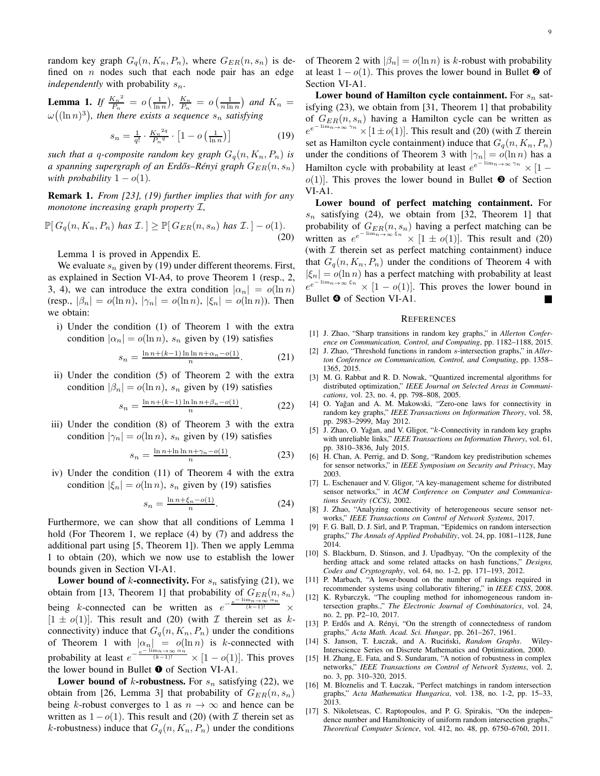random key graph  $G_q(n, K_n, P_n)$ , where  $G_{ER}(n, s_n)$  is defined on  $n$  nodes such that each node pair has an edge *independently* with probability  $s_n$ .

<span id="page-8-17"></span>**Lemma 1.** If 
$$
\frac{K_n^2}{P_n} = o\left(\frac{1}{\ln n}\right)
$$
,  $\frac{K_n}{P_n} = o\left(\frac{1}{n \ln n}\right)$  and  $K_n = \omega((\ln n)^3)$ , then there exists a sequence  $s_n$  satisfying

$$
s_n = \frac{1}{q!} \cdot \frac{K_n^{2q}}{P_n^{q}} \cdot \left[1 - o\left(\frac{1}{\ln n}\right)\right]
$$
 (19)

*such that a q-composite random key graph*  $G_q(n, K_n, P_n)$  *is a spanning supergraph of an Erdős–Rényi graph*  $G_{ER}(n, s_n)$ *with probability*  $1 - o(1)$ *.* 

Remark 1. *From [\[23\]](#page-9-5), [\(19\)](#page-8-18) further implies that with for any monotone increasing graph property* I*,*

$$
\mathbb{P}[G_q(n, K_n, P_n) \text{ has } \mathcal{I}.\ ] \geq \mathbb{P}[G_{ER}(n, s_n) \text{ has } \mathcal{I}.\ ] - o(1). \tag{20}
$$

Lemma [1](#page-8-17) is proved in Appendix [E.](#page-13-0)

We evaluate  $s_n$  given by [\(19\)](#page-8-18) under different theorems. First, as explained in Section [VI-A4,](#page-7-6) to prove Theorem [1](#page-3-1) (resp., [2,](#page-3-2) [3,](#page-3-3) [4\)](#page-3-4), we can introduce the extra condition  $|\alpha_n| = o(\ln n)$ (resp.,  $|\beta_n| = o(\ln n)$ ,  $|\gamma_n| = o(\ln n)$ ,  $|\xi_n| = o(\ln n)$ ). Then we obtain:

i) Under the condition [\(1\)](#page-3-5) of Theorem [1](#page-3-1) with the extra condition  $|\alpha_n| = o(\ln n)$ ,  $s_n$  given by [\(19\)](#page-8-18) satisfies

$$
s_n = \frac{\ln n + (k-1)\ln \ln n + \alpha_n - o(1)}{n}.
$$
 (21)

ii) Under the condition [\(5\)](#page-3-8) of Theorem [2](#page-3-2) with the extra condition  $|\beta_n| = o(\ln n)$ ,  $s_n$  given by [\(19\)](#page-8-18) satisfies

$$
s_n = \frac{\ln n + (k-1)\ln \ln n + \beta_n - o(1)}{n}.
$$
 (22)

iii) Under the condition [\(8\)](#page-3-9) of Theorem [3](#page-3-3) with the extra condition  $|\gamma_n| = o(\ln n)$ ,  $s_n$  given by [\(19\)](#page-8-18) satisfies

$$
s_n = \frac{\ln n + \ln \ln n + \gamma_n - o(1)}{n}.\tag{23}
$$

iv) Under the condition [\(11\)](#page-3-10) of Theorem [4](#page-3-4) with the extra condition  $|\xi_n| = o(\ln n)$ ,  $s_n$  given by [\(19\)](#page-8-18) satisfies

$$
s_n = \frac{\ln n + \xi_n - o(1)}{n}.\tag{24}
$$

Furthermore, we can show that all conditions of Lemma [1](#page-8-17) hold (For Theorem [1,](#page-3-1) we replace [\(4\)](#page-3-11) by [\(7\)](#page-3-6) and address the additional part using [\[5,](#page-8-1) Theorem 1]). Then we apply Lemma [1](#page-8-17) to obtain [\(20\)](#page-8-19), which we now use to establish the lower bounds given in Section [VI-A1.](#page-7-2)

**Lower bound of k-connectivity.** For  $s_n$  satisfying [\(21\)](#page-8-20), we obtain from [\[13,](#page-8-11) Theorem 1] that probability of  $G_{ER}(n, s_n)$ being k-connected can be written as  $e^{-\frac{e^{-\lim_{n\to\infty}\alpha_n}}{(k-1)!}}$  ×  $[1 \pm o(1)]$ . This result and [\(20\)](#page-8-19) (with *I* therein set as kconnectivity) induce that  $G_q(n, K_n, P_n)$  under the conditions of Theorem [1](#page-3-1) with  $|\alpha_n| = o(\ln n)$  is k-connected with probability at least  $e^{-\frac{e^{-\lim_{n\to\infty}\alpha_n}}{(k-1)!}} \times [1-o(1)]$ . This proves the lower bound in Bullet  $\bullet$  of Section [VI-A1.](#page-7-2)

**Lower bound of k-robustness.** For  $s_n$  satisfying [\(22\)](#page-8-21), we obtain from [\[26,](#page-9-8) Lemma 3] that probability of  $G_{ER}(n, s_n)$ being k-robust converges to 1 as  $n \to \infty$  and hence can be written as  $1-o(1)$ . This result and [\(20\)](#page-8-19) (with  $\mathcal I$  therein set as k-robustness) induce that  $G_q(n, K_n, P_n)$  under the conditions

<span id="page-8-18"></span>Lower bound of Hamilton cycle containment. For  $s_n$  satisfying [\(23\)](#page-8-22), we obtain from [\[31,](#page-9-13) Theorem 1] that probability of  $G_{ER}(n, s_n)$  having a Hamilton cycle can be written as  $e^{e^{-\lim_{n\to\infty}\gamma_n}} \times [1 \pm o(1)]$ . This result and [\(20\)](#page-8-19) (with *I* therein set as Hamilton cycle containment) induce that  $G_q(n, K_n, P_n)$ under the conditions of Theorem [3](#page-3-3) with  $|\gamma_n| = o(\ln n)$  has a Hamilton cycle with probability at least  $e^{e^{-\lim_{n\to\infty} \gamma_n}} \times [1$  $o(1)$ . This proves the lower bound in Bullet  $\Theta$  of Section [VI-A1.](#page-7-2)

<span id="page-8-19"></span>Lower bound of perfect matching containment. For  $s_n$  satisfying [\(24\)](#page-8-23), we obtain from [\[32,](#page-9-14) Theorem 1] that probability of  $G_{ER}(n, s_n)$  having a perfect matching can be written as  $e^{e^{-\lim_{n\to\infty} \xi_n}} \times [1 \pm o(1)]$ . This result and [\(20\)](#page-8-19) (with  $I$  therein set as perfect matching containment) induce that  $G_q(n, K_n, P_n)$  under the conditions of Theorem [4](#page-3-4) with  $|\xi_n| = o(\ln n)$  has a perfect matching with probability at least  $e^{e^{-\lim_{n\to\infty} \xi_n}} \times [1-o(1)]$ . This proves the lower bound in Bullet ➍ of Section [VI-A1.](#page-7-2)

#### REFERENCES

- <span id="page-8-9"></span>[1] J. Zhao, "Sharp transitions in random key graphs," in *Allerton Conference on Communication, Control, and Computing*, pp. 1182–1188, 2015.
- <span id="page-8-20"></span><span id="page-8-10"></span>[2] J. Zhao, "Threshold functions in random s-intersection graphs," in *Allerton Conference on Communication, Control, and Computing*, pp. 1358– 1365, 2015.
- <span id="page-8-14"></span>[3] M. G. Rabbat and R. D. Nowak, "Quantized incremental algorithms for distributed optimization," *IEEE Journal on Selected Areas in Communications*, vol. 23, no. 4, pp. 798–808, 2005.
- <span id="page-8-21"></span><span id="page-8-0"></span>[4] O. Yağan and A. M. Makowski, "Zero-one laws for connectivity in random key graphs," *IEEE Transactions on Information Theory*, vol. 58, pp. 2983–2999, May 2012.
- <span id="page-8-1"></span>[5] J. Zhao, O. Yağan, and V. Gligor, "k-Connectivity in random key graphs with unreliable links," *IEEE Transactions on Information Theory*, vol. 61, pp. 3810–3836, July 2015.
- <span id="page-8-22"></span><span id="page-8-2"></span>[6] H. Chan, A. Perrig, and D. Song, "Random key predistribution schemes for sensor networks," in *IEEE Symposium on Security and Privacy*, May 2003.
- <span id="page-8-3"></span>[7] L. Eschenauer and V. Gligor, "A key-management scheme for distributed sensor networks," in *ACM Conference on Computer and Communications Security (CCS)*, 2002.
- <span id="page-8-23"></span><span id="page-8-4"></span>[8] J. Zhao, "Analyzing connectivity of heterogeneous secure sensor networks," *IEEE Transactions on Control of Network Systems*, 2017.
- <span id="page-8-5"></span>[9] F. G. Ball, D. J. Sirl, and P. Trapman, "Epidemics on random intersection graphs," *The Annals of Applied Probability*, vol. 24, pp. 1081–1128, June 2014.
- <span id="page-8-6"></span>[10] S. Blackburn, D. Stinson, and J. Upadhyay, "On the complexity of the herding attack and some related attacks on hash functions," *Designs, Codes and Cryptography*, vol. 64, no. 1-2, pp. 171–193, 2012.
- <span id="page-8-7"></span>[11] P. Marbach, "A lower-bound on the number of rankings required in recommender systems using collaborativ filtering," in *IEEE CISS*, 2008.
- <span id="page-8-8"></span>[12] K. Rybarczyk, "The coupling method for inhomogeneous random intersection graphs.," *The Electronic Journal of Combinatorics*, vol. 24, no. 2, pp. P2–10, 2017.
- <span id="page-8-11"></span>[13] P. Erdős and A. Rényi, "On the strength of connectedness of random graphs," *Acta Math. Acad. Sci. Hungar*, pp. 261–267, 1961.
- <span id="page-8-12"></span>[14] S. Janson, T. Łuczak, and A. Ruciński, *Random Graphs*. Wiley-Interscience Series on Discrete Mathematics and Optimization, 2000.
- <span id="page-8-13"></span>[15] H. Zhang, E. Fata, and S. Sundaram, "A notion of robustness in complex networks," *IEEE Transactions on Control of Network Systems*, vol. 2, no. 3, pp. 310–320, 2015.
- <span id="page-8-15"></span>[16] M. Bloznelis and T. Łuczak, "Perfect matchings in random intersection graphs," *Acta Mathematica Hungarica*, vol. 138, no. 1-2, pp. 15–33, 2013.
- <span id="page-8-16"></span>[17] S. Nikoletseas, C. Raptopoulos, and P. G. Spirakis, "On the independence number and Hamiltonicity of uniform random intersection graphs," *Theoretical Computer Science*, vol. 412, no. 48, pp. 6750–6760, 2011.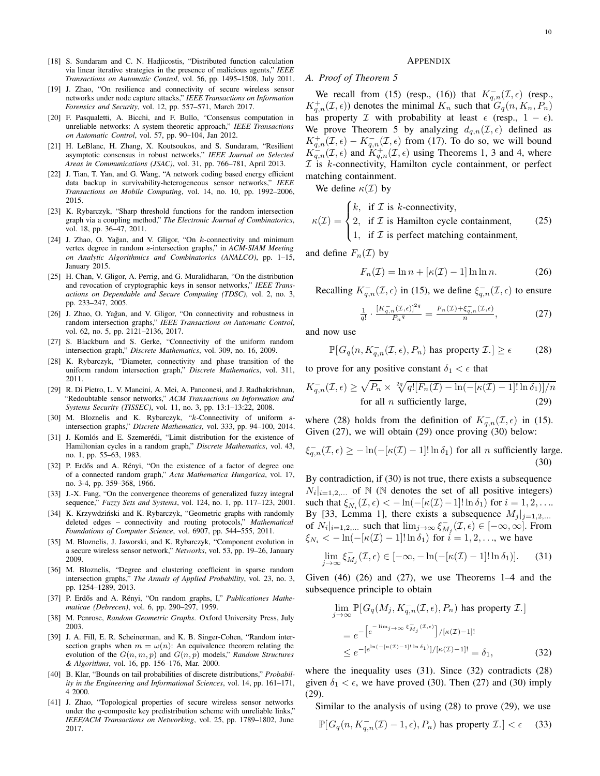- <span id="page-9-0"></span>[18] S. Sundaram and C. N. Hadjicostis, "Distributed function calculation via linear iterative strategies in the presence of malicious agents," *IEEE Transactions on Automatic Control*, vol. 56, pp. 1495–1508, July 2011.
- <span id="page-9-1"></span>[19] J. Zhao, "On resilience and connectivity of secure wireless sensor networks under node capture attacks," *IEEE Transactions on Information Forensics and Security*, vol. 12, pp. 557–571, March 2017.
- <span id="page-9-2"></span>[20] F. Pasqualetti, A. Bicchi, and F. Bullo, "Consensus computation in unreliable networks: A system theoretic approach," *IEEE Transactions on Automatic Control*, vol. 57, pp. 90–104, Jan 2012.
- <span id="page-9-3"></span>[21] H. LeBlanc, H. Zhang, X. Koutsoukos, and S. Sundaram, "Resilient asymptotic consensus in robust networks," *IEEE Journal on Selected Areas in Communications (JSAC)*, vol. 31, pp. 766–781, April 2013.
- <span id="page-9-4"></span>[22] J. Tian, T. Yan, and G. Wang, "A network coding based energy efficient data backup in survivability-heterogeneous sensor networks," *IEEE Transactions on Mobile Computing*, vol. 14, no. 10, pp. 1992–2006, 2015.
- <span id="page-9-5"></span>[23] K. Rybarczyk, "Sharp threshold functions for the random intersection graph via a coupling method," *The Electronic Journal of Combinatorics*, vol. 18, pp. 36–47, 2011.
- <span id="page-9-6"></span>[24] J. Zhao, O. Yağan, and V. Gligor, "On k-connectivity and minimum vertex degree in random s-intersection graphs," in *ACM-SIAM Meeting on Analytic Algorithmics and Combinatorics (ANALCO)*, pp. 1–15, January 2015.
- <span id="page-9-7"></span>[25] H. Chan, V. Gligor, A. Perrig, and G. Muralidharan, "On the distribution and revocation of cryptographic keys in sensor networks," *IEEE Transactions on Dependable and Secure Computing (TDSC)*, vol. 2, no. 3, pp. 233–247, 2005.
- <span id="page-9-8"></span>[26] J. Zhao, O. Yağan, and V. Gligor, "On connectivity and robustness in random intersection graphs," *IEEE Transactions on Automatic Control*, vol. 62, no. 5, pp. 2121–2136, 2017.
- <span id="page-9-9"></span>[27] S. Blackburn and S. Gerke, "Connectivity of the uniform random intersection graph," *Discrete Mathematics*, vol. 309, no. 16, 2009.
- <span id="page-9-10"></span>[28] K. Rybarczyk, "Diameter, connectivity and phase transition of the uniform random intersection graph," *Discrete Mathematics*, vol. 311, 2011.
- <span id="page-9-11"></span>[29] R. Di Pietro, L. V. Mancini, A. Mei, A. Panconesi, and J. Radhakrishnan, "Redoubtable sensor networks," *ACM Transactions on Information and Systems Security (TISSEC)*, vol. 11, no. 3, pp. 13:1–13:22, 2008.
- <span id="page-9-12"></span>[30] M. Bloznelis and K. Rybarczyk, "k-Connectivity of uniform sintersection graphs," *Discrete Mathematics*, vol. 333, pp. 94–100, 2014.
- <span id="page-9-13"></span>[31] J. Komlós and E. Szemerédi, "Limit distribution for the existence of Hamiltonian cycles in a random graph," *Discrete Mathematics*, vol. 43, no. 1, pp. 55–63, 1983.
- <span id="page-9-14"></span>[32] P. Erdős and A. Rényi, "On the existence of a factor of degree one of a connected random graph," *Acta Mathematica Hungarica*, vol. 17, no. 3-4, pp. 359–368, 1966.
- <span id="page-9-19"></span>[33] J.-X. Fang, "On the convergence theorems of generalized fuzzy integral sequence," *Fuzzy Sets and Systems*, vol. 124, no. 1, pp. 117–123, 2001.
- <span id="page-9-23"></span>[34] K. Krzywdziński and K. Rybarczyk, "Geometric graphs with randomly deleted edges – connectivity and routing protocols," *Mathematical Foundations of Computer Science*, vol. 6907, pp. 544–555, 2011.
- <span id="page-9-24"></span>[35] M. Bloznelis, J. Jaworski, and K. Rybarczyk, "Component evolution in a secure wireless sensor network," *Networks*, vol. 53, pp. 19–26, January 2009.
- <span id="page-9-25"></span>[36] M. Bloznelis, "Degree and clustering coefficient in sparse random intersection graphs," *The Annals of Applied Probability*, vol. 23, no. 3, pp. 1254–1289, 2013.
- <span id="page-9-26"></span>[37] P. Erdős and A. Rényi, "On random graphs, I," *Publicationes Mathematicae (Debrecen)*, vol. 6, pp. 290–297, 1959.
- <span id="page-9-27"></span>[38] M. Penrose, *Random Geometric Graphs*. Oxford University Press, July 2003.
- <span id="page-9-28"></span>[39] J. A. Fill, E. R. Scheinerman, and K. B. Singer-Cohen, "Random intersection graphs when  $m = \omega(n)$ : An equivalence theorem relating the evolution of the  $G(n, m, p)$  and  $G(n, p)$  models," *Random Structures & Algorithms*, vol. 16, pp. 156–176, Mar. 2000.
- <span id="page-9-29"></span>[40] B. Klar, "Bounds on tail probabilities of discrete distributions," *Probability in the Engineering and Informational Sciences*, vol. 14, pp. 161–171, 4 2000.
- <span id="page-9-30"></span>[41] J. Zhao, "Topological properties of secure wireless sensor networks under the q-composite key predistribution scheme with unreliable links," *IEEE/ACM Transactions on Networking*, vol. 25, pp. 1789–1802, June 2017.

#### APPENDIX

#### *A. Proof of Theorem [5](#page-5-8)*

We recall from [\(15\)](#page-4-5) (resp., [\(16\)](#page-5-11)) that  $K_{q,n}^-(\mathcal{I}, \epsilon)$  (resp.,  $K_{q,n}^+(\mathcal{I}, \epsilon)$ ) denotes the minimal  $K_n$  such that  $G_q(n, K_n, P_n)$ has property  $\mathcal I$  with probability at least  $\epsilon$  (resp.,  $1 - \epsilon$ ). We prove Theorem [5](#page-5-8) by analyzing  $d_{q,n}(\mathcal{I}, \epsilon)$  defined as  $K_{q,n}^+(\mathcal{I}, \epsilon) - K_{q,n}^-(\mathcal{I}, \epsilon)$  from [\(17\)](#page-5-12). To do so, we will bound  $K_{q,n}^{\perp}(\mathcal{I},\epsilon)$  and  $K_{q,n}^{\perp}(\mathcal{I},\epsilon)$  using Theorems [1,](#page-3-1) [3](#page-3-3) and [4,](#page-3-4) where  $I$  is k-connectivity, Hamilton cycle containment, or perfect matching containment.

We define  $\kappa(\mathcal{I})$  by

 $\sqrt{ }$  $\int_{0}^{k}$ , if  $\mathcal{I}$  is k-connectivity,

$$
\kappa(\mathcal{I}) = \begin{cases} 2, & \text{if } \mathcal{I} \text{ is Hamilton cycle containment,} \\ 1, & \text{if } \mathcal{I} \text{ is perfect matching containment,} \end{cases} \tag{25}
$$

and define  $F_n(\mathcal{I})$  by

<span id="page-9-20"></span>
$$
F_n(\mathcal{I}) = \ln n + [\kappa(\mathcal{I}) - 1] \ln \ln n. \tag{26}
$$

Recalling  $K_{q,n}^-(\mathcal{I}, \epsilon)$  in [\(15\)](#page-4-5), we define  $\xi_{q,n}^-(\mathcal{I}, \epsilon)$  to ensure

<span id="page-9-17"></span><span id="page-9-16"></span><span id="page-9-15"></span>
$$
\frac{1}{q!} \cdot \frac{[K_{q,n}(\mathcal{I}, \epsilon)]^{2q}}{P_n^q} = \frac{F_n(\mathcal{I}) + \xi_{q,n}(\mathcal{I}, \epsilon)}{n},\tag{27}
$$

and now use

$$
\mathbb{P}[G_q(n, K_{q,n}^-(\mathcal{I}, \epsilon), P_n) \text{ has property } \mathcal{I}.\] \ge \epsilon \tag{28}
$$

to prove for any positive constant  $\delta_1 < \epsilon$  that

$$
K_{q,n}^-(\mathcal{I}, \epsilon) \ge \sqrt{P_n} \times \sqrt[2q]{q! [F_n(\mathcal{I}) - \ln(-[\kappa(\mathcal{I}) - 1]! \ln \delta_1)]/n}
$$
  
for all *n* sufficiently large, (29)

where [\(28\)](#page-9-15) holds from the definition of  $K_{q,n}^-(\mathcal{I}, \epsilon)$  in [\(15\)](#page-4-5). Given [\(27\)](#page-9-16), we will obtain [\(29\)](#page-9-17) once proving [\(30\)](#page-9-18) below:

<span id="page-9-18"></span>
$$
\xi_{q,n}^-(\mathcal{I}, \epsilon) \ge -\ln(-[\kappa(\mathcal{I}) - 1]!\ln \delta_1) \text{ for all } n \text{ sufficiently large.}
$$
\n(30)

By contradiction, if [\(30\)](#page-9-18) is not true, there exists a subsequence  $N_i|_{i=1,2,...}$  of  $N$  (N denotes the set of all positive integers) such that  $\xi_{N_i}^-(\mathcal{I}, \epsilon) < -\ln(-[\kappa(\mathcal{I})-1]!\ln \delta_1)$  for  $i = 1, 2, \ldots$ By [\[33,](#page-9-19) Lemma 1], there exists a subsequence  $M_i|_{i=1,2,...}$ of  $N_i|_{i=1,2,...}$  such that  $\lim_{j\to\infty} \xi_{M_j}^-(\mathcal{I}, \epsilon) \in [-\infty, \infty]$ . From  $\xi_{N_i} < -\ln(-\lbrack \kappa(\mathcal{I}) - 1 \rbrack! \ln \delta_1)$  for  $i = 1, 2, \ldots$ , we have

$$
\lim_{j \to \infty} \xi_{M_j}^-(\mathcal{I}, \epsilon) \in [-\infty, -\ln(-[\kappa(\mathcal{I})-1]!\ln \delta_1)]. \tag{31}
$$

Given  $(46)$   $(26)$  and  $(27)$ , we use Theorems  $1-4$  $1-4$  and the subsequence principle to obtain

<span id="page-9-22"></span><span id="page-9-21"></span>
$$
\lim_{j \to \infty} \mathbb{P}[G_q(M_j, K_{q,n}^-(\mathcal{I}, \epsilon), P_n) \text{ has property } \mathcal{I}].
$$
\n
$$
= e^{-\left[e^{-\lim_{j \to \infty} \epsilon_{M_j}^-(\mathcal{I}, \epsilon)}\right] / [\kappa(\mathcal{I}) - 1]!}
$$
\n
$$
\leq e^{-\left[e^{\ln(-\left[\kappa(\mathcal{I}) - 1\right]!\ln \delta_1)}\right] / [\kappa(\mathcal{I}) - 1]!} = \delta_1,
$$
\n(32)

where the inequality uses [\(31\)](#page-9-21). Since [\(32\)](#page-9-22) contradicts [\(28\)](#page-9-15) given  $\delta_1 < \epsilon$ , we have proved [\(30\)](#page-9-18). Then [\(27\)](#page-9-16) and (30) imply [\(29\)](#page-9-17).

Similar to the analysis of using [\(28\)](#page-9-15) to prove [\(29\)](#page-9-17), we use  $\mathbb{P}[G_q(n, K_{q,n}^{-}(\mathcal{I})-1, \epsilon), P_n)$  has property  $\mathcal{I}.] < \epsilon$  (33)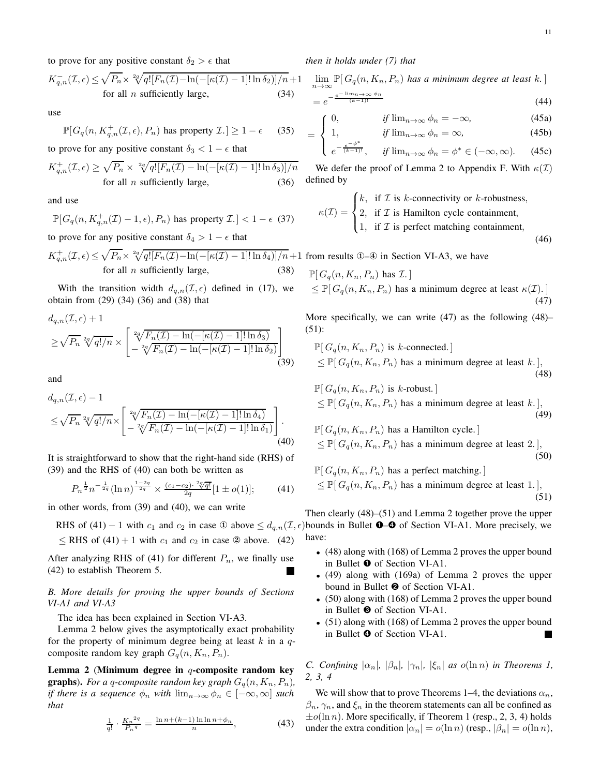to prove for any positive constant  $\delta_2 > \epsilon$  that

$$
K_{q,n}^{-}(\mathcal{I}, \epsilon) \le \sqrt{P_n} \times \sqrt[2q]{q! \left[F_n(\mathcal{I}) - \ln(-\left[\kappa(\mathcal{I}) - 1\right]!\ln\delta_2)\right] / n} + 1
$$
\nfor all *n* sufficiently large,

\n(34)

use

$$
\mathbb{P}[G_q(n, K_{q,n}^+(\mathcal{I}, \epsilon), P_n) \text{ has property } \mathcal{I}.\] \ge 1 - \epsilon \qquad (35)
$$
  
to prove for any positive constant  $\delta_2 < 1 - \epsilon$  that

$$
K_{q,n}^+(\mathcal{I}, \epsilon) \ge \sqrt{P_n} \times \sqrt[2q]{q! [F_n(\mathcal{I}) - \ln(-[\kappa(\mathcal{I}) - 1]! \ln \delta_3)]/n}
$$

$$
\begin{array}{rcl}\n\text{for all } n \text{ sufficiently large,} \\
\text{for all } n \text{ sufficiently large,}\n\end{array}\n\tag{36}
$$

and use

$$
\mathbb{P}[G_q(n, K_{q,n}^+(\mathcal{I})-1, \epsilon), P_n] \text{ has property } \mathcal{I}. < 1-\epsilon \tag{37}
$$

to prove for any positive constant  $\delta_4 > 1 - \epsilon$  that

$$
K_{q,n}^{+}(\mathcal{I}, \epsilon) \le \sqrt{P_n} \times \sqrt[2q]{q! \left[F_n(\mathcal{I}) - \ln(-\left[\kappa(\mathcal{I}) - 1\right]!\ln \delta_4)\right] / n} + 1
$$
  
for all *n* sufficiently large, (38)

With the transition width  $d_{q,n}(\mathcal{I}, \epsilon)$  defined in [\(17\)](#page-5-12), we obtain from [\(29\)](#page-9-17) [\(34\)](#page-10-3) [\(36\)](#page-10-4) and [\(38\)](#page-10-5) that

$$
d_{q,n}(\mathcal{I}, \epsilon) + 1
$$
  
\n
$$
\geq \sqrt{P_n} \sqrt[2q]{q!/n} \times \left[ \sqrt[2q]{F_n(\mathcal{I}) - \ln(-[\kappa(\mathcal{I}) - 1]!\ln \delta_3)} - \sqrt[2q]{F_n(\mathcal{I}) - \ln(-[\kappa(\mathcal{I}) - 1]!\ln \delta_2)} \right]
$$
\n(39)

and

$$
d_{q,n}(\mathcal{I}, \epsilon) - 1
$$
  
\n
$$
\leq \sqrt{P_n} \sqrt[2q]{q!/n} \times \left[ \sqrt[2q]{F_n(\mathcal{I}) - \ln(-[\kappa(\mathcal{I}) - 1]!\ln \delta_4)} - \sqrt[2q]{F_n(\mathcal{I}) - \ln(-[\kappa(\mathcal{I}) - 1]!\ln \delta_1)} \right].
$$
\n(40)

It is straightforward to show that the right-hand side (RHS) of [\(39\)](#page-10-6) and the RHS of [\(40\)](#page-10-7) can both be written as

$$
P_n^{\frac{1}{2}} n^{-\frac{1}{2q}} (\ln n)^{\frac{1-2q}{2q}} \times \frac{(c_1-c_2) \cdot \sqrt[2q]{q!}}{2q} [1 \pm o(1)]; \qquad (41)
$$

in other words, from [\(39\)](#page-10-6) and [\(40\)](#page-10-7), we can write

 $\le$  RHS of [\(41\)](#page-10-8) + 1 with  $c_1$  and  $c_2$  in case ② above. (42)

After analyzing RHS of [\(41\)](#page-10-8) for different  $P_n$ , we finally use [\(42\)](#page-10-9) to establish Theorem [5.](#page-5-8)

# <span id="page-10-0"></span>*B. More details for proving the upper bounds of Sections [VI-A1](#page-7-2) and [VI-A3](#page-7-5)*

The idea has been explained in Section [VI-A3.](#page-7-5)

Lemma [2](#page-10-10) below gives the asymptotically exact probability for the property of minimum degree being at least  $k$  in a  $q$ composite random key graph  $G_q(n, K_n, P_n)$ .

<span id="page-10-10"></span>Lemma 2 (Minimum degree in  $q$ -composite random key **graphs).** *For a q-composite random key graph*  $G_q(n, K_n, P_n)$ *, if there is a sequence*  $\phi_n$  *with*  $\lim_{n\to\infty} \phi_n \in [-\infty,\infty]$  *such that*

$$
\frac{1}{q!} \cdot \frac{K_n^{2q}}{P_n^q} = \frac{\ln n + (k-1)\ln \ln n + \phi_n}{n},\tag{43}
$$

*then it holds under [\(7\)](#page-3-6) that*

=

<span id="page-10-3"></span>
$$
\lim_{n \to \infty} \mathbb{P}[G_q(n, K_n, P_n) \text{ has a minimum degree at least } k.]
$$

$$
=e^{-\frac{e^{-\lim_{n\to\infty}\phi_n}}{(k-1)!}}\tag{44}
$$

$$
\int 0, \qquad \qquad \text{if } \lim_{n \to \infty} \phi_n = -\infty, \tag{45a}
$$

1, if 
$$
\lim_{n \to \infty} \phi_n = \infty
$$
, (45b)  

$$
e^{-\frac{e^{-\phi^*}}{(k-1)!}}
$$
, if  $\lim_{n \to \infty} \phi_n = \phi^* \in (-\infty, \infty)$ . (45c)

$$
e^{-\frac{e^{-\phi^*}}{(k-1)!}}, \quad \text{if } \lim_{n \to \infty} \phi_n = \phi^* \in (-\infty, \infty). \tag{45c}
$$

<span id="page-10-4"></span>We defer the proof of Lemma [2](#page-10-10) to Appendix [F.](#page-17-0) With  $\kappa(\mathcal{I})$ defined by

<span id="page-10-2"></span>
$$
\kappa(\mathcal{I}) = \begin{cases} k, & \text{if } \mathcal{I} \text{ is } k\text{-connectivity or } k\text{-robustness,} \\ 2, & \text{if } \mathcal{I} \text{ is Hamilton cycle containment,} \\ 1, & \text{if } \mathcal{I} \text{ is perfect matching containment,} \end{cases} \tag{46}
$$

<span id="page-10-5"></span>1 from results ①–④ in Section [VI-A3,](#page-7-5) we have

$$
\mathbb{P}[G_q(n, K_n, P_n) \text{ has } \mathcal{I}].
$$
  
\$\leq \mathbb{P}[G\_q(n, K\_n, P\_n) \text{ has a minimum degree at least } \kappa(\mathcal{I}).\$ (47)

More specifically, we can write [\(47\)](#page-10-11) as the following [\(48\)](#page-10-12)– [\(51\)](#page-10-13):

<span id="page-10-11"></span><span id="page-10-6"></span>
$$
\mathbb{P}[G_q(n, K_n, P_n) \text{ is } k\text{-connected.}]
$$
  
 
$$
\leq \mathbb{P}[G_q(n, K_n, P_n) \text{ has a minimum degree at least } k.]
$$
  
(48)

<span id="page-10-12"></span>
$$
\mathbb{P}[G_q(n, K_n, P_n) \text{ is } k\text{-robust.}]
$$
  
\n
$$
\leq \mathbb{P}[G_q(n, K_n, P_n) \text{ has a minimum degree at least } k.]
$$
  
\n
$$
\mathbb{P}[G_q(n, K_n, P_n) \text{ has a Hamilton cycle.}]
$$
\n(49)

<span id="page-10-15"></span><span id="page-10-14"></span><span id="page-10-7"></span>
$$
\leq \mathbb{P}[G_q(n, K_n, P_n) \text{ has a minimum degree at least 2.}],
$$
\n(50)

<span id="page-10-13"></span><span id="page-10-8"></span> $\mathbb{P}[ G_q(n, K_n, P_n)$  has a perfect matching.  $\leq \mathbb{P}[ G_q(n, K_n, P_n)$  has a minimum degree at least 1. ], (51)

RHS of [\(41\)](#page-10-8) – 1 with  $c_1$  and  $c_2$  in case ① above  $\leq d_{q,n}(\mathcal{I}, \epsilon)$  bounds in Bullet **0–0** of Section [VI-A1.](#page-7-2) More precisely, we Then clearly [\(48\)](#page-10-12)–[\(51\)](#page-10-13) and Lemma [2](#page-10-10) together prove the upper have:

- <span id="page-10-9"></span>• [\(48\)](#page-10-12) along with [\(168\)](#page-17-1) of Lemma [2](#page-10-10) proves the upper bound in Bullet ➊ of Section [VI-A1.](#page-7-2)
- [\(49\)](#page-10-14) along with [\(169a\)](#page-17-2) of Lemma [2](#page-10-10) proves the upper bound in Bullet ➋ of Section [VI-A1.](#page-7-2)
- [\(50\)](#page-10-15) along with [\(168\)](#page-17-1) of Lemma [2](#page-10-10) proves the upper bound in Bullet ➌ of Section [VI-A1.](#page-7-2)
- [\(51\)](#page-10-13) along with [\(168\)](#page-17-1) of Lemma [2](#page-10-10) proves the upper bound in Bullet ➍ of Section [VI-A1.](#page-7-2) **The Second Service**

<span id="page-10-1"></span>*C. Confining*  $|\alpha_n|$ *,*  $|\beta_n|$ *,*  $|\gamma_n|$ *,*  $|\xi_n|$  *as*  $o(\ln n)$  *in Theorems [1,](#page-3-1) [2,](#page-3-2) [3,](#page-3-3) [4](#page-3-4)*

We will show that to prove Theorems [1–](#page-3-1)[4,](#page-3-4) the deviations  $\alpha_n$ ,  $\beta_n$ ,  $\gamma_n$ , and  $\xi_n$  in the theorem statements can all be confined as  $\pm o(\ln n)$ . More specifically, if Theorem [1](#page-3-1) (resp., [2,](#page-3-2) [3,](#page-3-3) [4\)](#page-3-4) holds under the extra condition  $|\alpha_n| = o(\ln n)$  (resp.,  $|\beta_n| = o(\ln n)$ ,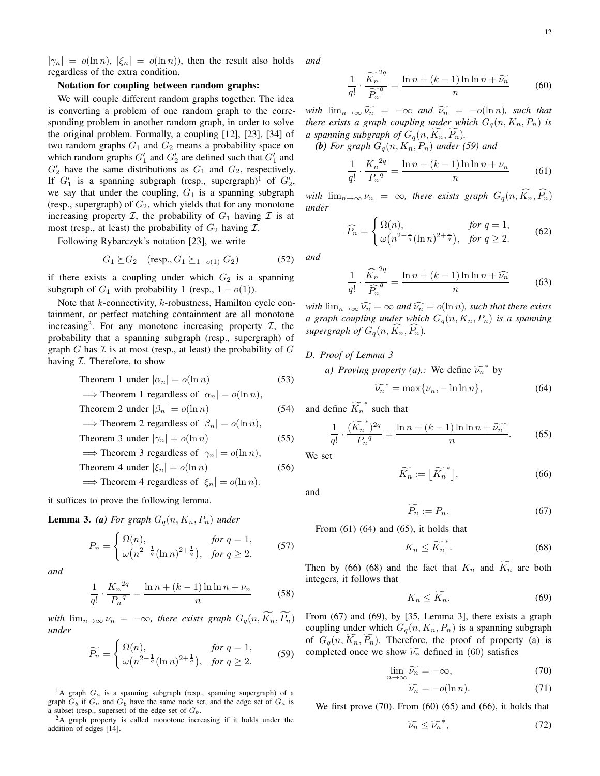$|\gamma_n| = o(\ln n)$ ,  $|\xi_n| = o(\ln n)$ , then the result also holds regardless of the extra condition. *and*

# Notation for coupling between random graphs:

We will couple different random graphs together. The idea is converting a problem of one random graph to the corresponding problem in another random graph, in order to solve the original problem. Formally, a coupling [\[12\]](#page-8-8), [\[23\]](#page-9-5), [\[34\]](#page-9-23) of two random graphs  $G_1$  and  $G_2$  means a probability space on which random graphs  $G'_1$  and  $G'_2$  are defined such that  $G'_1$  and  $G'_{2}$  have the same distributions as  $G_{1}$  and  $G_{2}$ , respectively. If  $G'_1$  is a spanning subgraph (resp., supergraph)<sup>1</sup> of  $G'_2$ , we say that under the coupling,  $G_1$  is a spanning subgraph (resp., supergraph) of  $G_2$ , which yields that for any monotone increasing property  $\mathcal I$ , the probability of  $G_1$  having  $\mathcal I$  is at most (resp., at least) the probability of  $G_2$  having  $\mathcal{I}$ .

Following Rybarczyk's notation [\[23\]](#page-9-5), we write

$$
G_1 \succeq G_2 \quad \text{(resp., } G_1 \succeq_{1-o(1)} G_2\text{)} \tag{52}
$$

if there exists a coupling under which  $G_2$  is a spanning subgraph of  $G_1$  with probability 1 (resp.,  $1 - o(1)$ ).

Note that k-connectivity, k-robustness, Hamilton cycle containment, or perfect matching containment are all monotone increasing<sup>2</sup>. For any monotone increasing property  $\mathcal{I}$ , the probability that a spanning subgraph (resp., supergraph) of graph  $G$  has  $\mathcal I$  is at most (resp., at least) the probability of  $G$ having  $I$ . Therefore, to show

Theorem 1 under 
$$
|\alpha_n| = o(\ln n)
$$
 (53)

$$
\implies
$$
 Theorem 1 regardless of  $|\alpha_n| = o(\ln n)$ ,

Theorem 2 under 
$$
|\beta_n| = o(\ln n)
$$
 (54)

$$
\implies
$$
 Theorem 2 regardless of  $|\beta_n| = o(\ln n)$ ,

Theorem [3](#page-3-3) under  $|\gamma_n| = o(\ln n)$  (55)

$$
\implies
$$
 Theorem 3 regardless of  $|\gamma_n| = o(\ln n)$ ,

Theorem 4 under 
$$
|\xi_n| = o(\ln n)
$$
 (56)

$$
\implies
$$
 Theorem 4 regardless of  $|\xi_n| = o(\ln n)$ .

it suffices to prove the following lemma.

<span id="page-11-1"></span>**Lemma 3.** (a) For graph  $G_q(n, K_n, P_n)$  under

$$
P_n = \begin{cases} \Omega(n), & \text{for } q = 1, \\ \omega(n^{2 - \frac{1}{q}} (\ln n)^{2 + \frac{1}{q}}), & \text{for } q \ge 2. \end{cases}
$$
(57)

*and*

$$
\frac{1}{q!} \cdot \frac{K_n^{2q}}{P_n^{q}} = \frac{\ln n + (k-1)\ln \ln n + \nu_n}{n}
$$
 (58)

*with*  $\lim_{n\to\infty} \nu_n = -\infty$ *, there exists graph*  $G_q(n, \widetilde{K_n}, \widetilde{P_n})$ *under*

$$
\widetilde{P_n} = \begin{cases} \Omega(n), & \text{for } q = 1, \\ \omega(n^{2 - \frac{1}{q}} (\ln n)^{2 + \frac{1}{q}}), & \text{for } q \ge 2. \end{cases}
$$
(59)

<sup>1</sup>A graph  $G_a$  is a spanning subgraph (resp., spanning supergraph) of a graph  $G_b$  if  $G_a$  and  $G_b$  have the same node set, and the edge set of  $G_a$  is a subset (resp., superset) of the edge set of  $G_b$ .

 ${}^{2}$ A graph property is called monotone increasing if it holds under the addition of edges [\[14\]](#page-8-12).

<span id="page-11-9"></span>
$$
\frac{1}{q!} \cdot \frac{\widetilde{K_n}^{2q}}{\widetilde{P_n}^q} = \frac{\ln n + (k-1)\ln \ln n + \widetilde{\nu_n}}{n} \tag{60}
$$

*with*  $\lim_{n\to\infty} \widetilde{\nu_n} = -\infty$  *and*  $\widetilde{\nu_n} = -o(\ln n)$ *, such that there exists a graph coupling under which*  $G_q(n, K_n, P_n)$  *is a spanning subgraph of*  $G_q(n, K_n, P_n)$ .

*(b)* For graph  $G_q(n, K_n, P_n)$  *under* [\(59\)](#page-11-0) *and* 

<span id="page-11-2"></span>
$$
\frac{1}{q!} \cdot \frac{{K_n}^{2q}}{{P_n}^q} = \frac{\ln n + (k-1)\ln \ln n + \nu_n}{n}
$$
 (61)

*with*  $\lim_{n\to\infty} \nu_n = \infty$ , there exists graph  $G_q(n, \widehat{K_n}, \widehat{P_n})$ *under*

$$
\widehat{P_n} = \begin{cases} \Omega(n), & \text{for } q = 1, \\ \omega(n^{2 - \frac{1}{q}} (\ln n)^{2 + \frac{1}{q}}), & \text{for } q \ge 2. \end{cases}
$$
(62)

*and*

<span id="page-11-13"></span>
$$
\frac{1}{q!} \cdot \frac{\widehat{K_n}^{2q}}{\widehat{P_n}^q} = \frac{\ln n + (k-1)\ln \ln n + \widehat{\nu_n}}{n} \tag{63}
$$

*with*  $\lim_{n\to\infty} \widehat{\nu_n} = \infty$  *and*  $\widehat{\nu_n} = o(\ln n)$ *, such that there exists a graph coupling under which*  $G_q(n, K_n, P_n)$  *is a spanning supergraph of*  $G_q(n, \widetilde{K_n}, \widetilde{P_n})$ .

*D. Proof of Lemma [3](#page-11-1)*

*a) Proving property (a).:* We define  $\widetilde{\nu_n}^*$  by

$$
\widetilde{\nu_n}^* = \max\{\nu_n, -\ln\ln n\},\tag{64}
$$

and define  $\widetilde{K_n}^*$  such that

$$
\frac{1}{q!} \cdot \frac{(\widetilde{K_n}^*)^{2q}}{P_n^q} = \frac{\ln n + (k-1)\ln \ln n + \widetilde{\nu_n}^*}{n}.\tag{65}
$$

We set

<span id="page-11-5"></span><span id="page-11-4"></span><span id="page-11-3"></span>
$$
\widetilde{K_n} := \left[ \widetilde{K_n}^* \right],\tag{66}
$$

and

<span id="page-11-7"></span>
$$
\widetilde{P_n} := P_n. \tag{67}
$$

From  $(61)$   $(64)$  and  $(65)$ , it holds that

<span id="page-11-6"></span>
$$
K_n \le \widetilde{K_n}^*.\tag{68}
$$

Then by [\(66\)](#page-11-5) [\(68\)](#page-11-6) and the fact that  $K_n$  and  $\widetilde{K_n}$  are both integers, it follows that

<span id="page-11-8"></span>
$$
K_n \le \widetilde{K_n}.\tag{69}
$$

<span id="page-11-0"></span>From [\(67\)](#page-11-7) and [\(69\)](#page-11-8), by [\[35,](#page-9-24) Lemma 3], there exists a graph coupling under which  $G_q(n, K_n, P_n)$  is a spanning subgraph of  $G_q(n, K_n, P_n)$ . Therefore, the proof of property (a) is completed once we show  $\widetilde{\nu_n}$  defined in [\(60\)](#page-11-9) satisfies

$$
\lim_{n \to \infty} \widetilde{\nu_n} = -\infty,\tag{70}
$$

<span id="page-11-11"></span><span id="page-11-10"></span>
$$
\widetilde{\nu_n} = -o(\ln n). \tag{71}
$$

We first prove  $(70)$ . From  $(60)$   $(65)$  and  $(66)$ , it holds that

<span id="page-11-12"></span>
$$
\widetilde{\nu_n} \le \widetilde{\nu_n}^*,\tag{72}
$$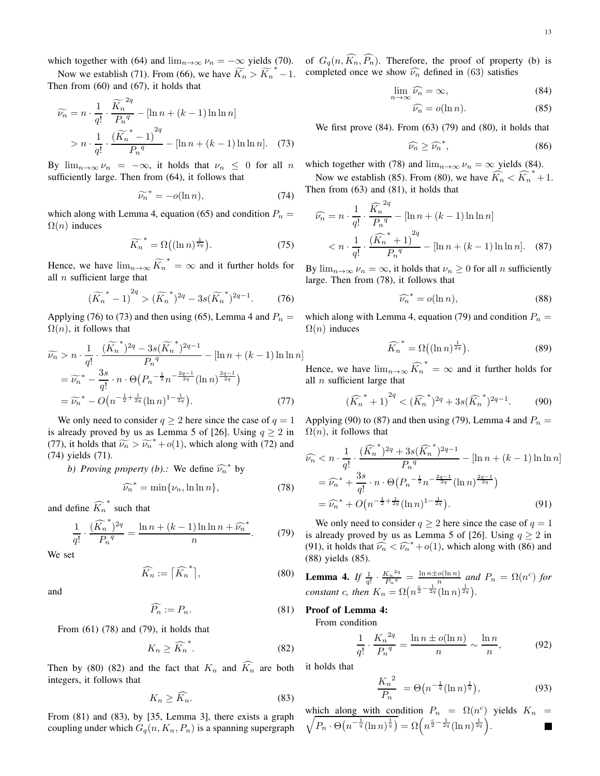Now we establish [\(71\)](#page-11-11). From [\(66\)](#page-11-5), we have  $\widetilde{K_n} > \widetilde{K_n}^* - 1$ . completed once we show  $\widehat{\nu_n}$  defined in [\(63\)](#page-11-13) satisfies Then from [\(60\)](#page-11-9) and [\(67\)](#page-11-7), it holds that

$$
\widetilde{\nu_n} = n \cdot \frac{1}{q!} \cdot \frac{\widetilde{K_n}^{2q}}{P_n^q} - [\ln n + (k-1) \ln \ln n]
$$
  
> 
$$
n \cdot \frac{1}{q!} \cdot \frac{(\widetilde{K_n}^* - 1)^{2q}}{P_n^q} - [\ln n + (k-1) \ln \ln n]. \quad (73)
$$

By  $\lim_{n\to\infty} \nu_n = -\infty$ , it holds that  $\nu_n \leq 0$  for all n sufficiently large. Then from [\(64\)](#page-11-3), it follows that

$$
\widetilde{\nu_n}^* = -o(\ln n),\tag{74}
$$

which along with Lemma [4,](#page-12-0) equation [\(65\)](#page-11-4) and condition  $P_n =$  $\Omega(n)$  induces

$$
\widetilde{K_n}^* = \Omega\big((\ln n)^{\frac{1}{2q}}\big). \tag{75}
$$

Hence, we have  $\lim_{n\to\infty} \widetilde{K_n}^* = \infty$  and it further holds for all  $n$  sufficient large that

$$
\left(\widetilde{K_n}^* - 1\right)^{2q} > \left(\widetilde{K_n}^*\right)^{2q} - 3s\left(\widetilde{K_n}^*\right)^{2q-1}.\tag{76}
$$

Applying [\(76\)](#page-12-1) to [\(73\)](#page-12-2) and then using [\(65\)](#page-11-4), Lemma [4](#page-12-0) and  $P_n =$  $\Omega(n)$ , it follows that

$$
\widetilde{\nu_n} > n \cdot \frac{1}{q!} \cdot \frac{(\widetilde{K_n}^*)^{2q} - 3s(\widetilde{K_n}^*)^{2q-1}}{P_n^q} - [\ln n + (k-1)\ln \ln n]
$$
  
=  $\widetilde{\nu_n}^* - \frac{3s}{q!} \cdot n \cdot \Theta(P_n^{-\frac{1}{2}} n^{-\frac{2q-1}{2q}} (\ln n)^{\frac{2q-1}{2q}})$   
=  $\widetilde{\nu_n}^* - O(n^{-\frac{1}{2} + \frac{1}{2q}} (\ln n)^{1 - \frac{1}{2q}}).$  (77)

We only need to consider  $q \ge 2$  here since the case of  $q = 1$ is already proved by us as Lemma 5 of [\[26\]](#page-9-8). Using  $q \ge 2$  in [\(77\)](#page-12-3), it holds that  $\widetilde{\nu_n} > \widetilde{\nu_n}^* + o(1)$ , which along with [\(72\)](#page-11-12) and [\(74\)](#page-12-4) yields [\(71\)](#page-11-11).

*b) Proving property (b).:* We define  $\widehat{\nu_n}^*$  by

$$
\widehat{\nu_n}^* = \min{\{\nu_n, \ln \ln n\}},\tag{78}
$$

and define  $\widehat{K_n}^*$  such that

$$
\frac{1}{q!} \cdot \frac{(\widehat{K_n}^*)^{2q}}{P_n^q} = \frac{\ln n + (k-1)\ln \ln n + \widehat{\nu_n}^*}{n}.
$$
 (79)

We set

$$
\widehat{K_n} := \left\lceil \widehat{K_n}^* \right\rceil, \tag{80}
$$

and

$$
\widehat{P_n} := P_n. \tag{81}
$$

From [\(61\)](#page-11-2) [\(78\)](#page-12-5) and [\(79\)](#page-12-6), it holds that

$$
K_n \ge \widehat{K_n}^*.\tag{82}
$$

Then by [\(80\)](#page-12-7) [\(82\)](#page-12-8) and the fact that  $K_n$  and  $\widehat{K_n}$  are both integers, it follows that

$$
K_n \ge \widetilde{K_n}.\tag{83}
$$

From [\(81\)](#page-12-9) and [\(83\)](#page-12-10), by [\[35,](#page-9-24) Lemma 3], there exists a graph coupling under which  $G_q(n, K_n, P_n)$  is a spanning supergraph

which together with [\(64\)](#page-11-3) and  $\lim_{n\to\infty} \nu_n = -\infty$  yields [\(70\)](#page-11-10). of  $G_q(n, K_n, P_n)$ . Therefore, the proof of property (b) is

$$
\lim_{n \to \infty} \widehat{\nu_n} = \infty,\tag{84}
$$

<span id="page-12-11"></span>
$$
\widehat{\nu_n} = o(\ln n). \tag{85}
$$

We first prove [\(84\)](#page-12-11). From [\(63\)](#page-11-13) [\(79\)](#page-12-6) and [\(80\)](#page-12-7), it holds that

<span id="page-12-16"></span><span id="page-12-12"></span>
$$
\widehat{\nu_n} \ge \widehat{\nu_n}^*,\tag{86}
$$

<span id="page-12-2"></span>which together with [\(78\)](#page-12-5) and  $\lim_{n\to\infty} \nu_n = \infty$  yields [\(84\)](#page-12-11).

<span id="page-12-4"></span>Now we establish [\(85\)](#page-12-12). From [\(80\)](#page-12-7), we have  $\widehat{K_n} < \widehat{K_n}^* + 1$ . Then from [\(63\)](#page-11-13) and [\(81\)](#page-12-9), it holds that

$$
\widehat{\nu_n} = n \cdot \frac{1}{q!} \cdot \frac{\widehat{K_n}^{2q}}{P_n^q} - [\ln n + (k-1) \ln \ln n]
$$
  

$$
< n \cdot \frac{1}{q!} \cdot \frac{(\widehat{K_n}^* + 1)^{2q}}{P_n^q} - [\ln n + (k-1) \ln \ln n]. \quad (87)
$$

By  $\lim_{n\to\infty} \nu_n = \infty$ , it holds that  $\nu_n \geq 0$  for all n sufficiently large. Then from [\(78\)](#page-12-5), it follows that

<span id="page-12-17"></span><span id="page-12-14"></span>
$$
\widehat{\nu_n}^* = o(\ln n),\tag{88}
$$

<span id="page-12-1"></span>which along with Lemma [4,](#page-12-0) equation [\(79\)](#page-12-6) and condition  $P_n =$  $\Omega(n)$  induces

<span id="page-12-15"></span><span id="page-12-13"></span>
$$
\widehat{K_n}^* = \Omega\big((\ln n)^{\frac{1}{2q}}\big). \tag{89}
$$

Hence, we have  $\lim_{n\to\infty} \widehat{K_n}^* = \infty$  and it further holds for all  $n$  sufficient large that

$$
\left(\widehat{K_n}^* + 1\right)^{2q} < \left(\widehat{K_n}^*\right)^{2q} + 3s\left(\widehat{K_n}^*\right)^{2q-1}.\tag{90}
$$

<span id="page-12-3"></span>Applying [\(90\)](#page-12-13) to [\(87\)](#page-12-14) and then using [\(79\)](#page-12-6), Lemma [4](#page-12-0) and  $P_n =$  $\Omega(n)$ , it follows that

<span id="page-12-5"></span>
$$
\widehat{\nu_n} < n \cdot \frac{1}{q!} \cdot \frac{(\widehat{K_n}^*)^{2q} + 3s(\widehat{K_n}^*)^{2q-1}}{P_n^q} - [\ln n + (k-1)\ln \ln n]
$$
\n
$$
= \widehat{\nu_n}^* + \frac{3s}{q!} \cdot n \cdot \Theta\big(P_n^{-\frac{1}{2}} n^{-\frac{2q-1}{2q}} (\ln n)^{\frac{2q-1}{2q}}\big)
$$
\n
$$
= \widehat{\nu_n}^* + O\big(n^{-\frac{1}{2} + \frac{1}{2q}} (\ln n)^{1 - \frac{1}{2q}}\big).
$$
\n(91)

<span id="page-12-6"></span>(79) is already proved by us as Lemma 5 of [\[26\]](#page-9-8). Using  $q \ge 2$  in We only need to consider  $q \ge 2$  here since the case of  $q = 1$ [\(91\)](#page-12-15), it holds that  $\widehat{\nu_n} < \widehat{\nu_n^*} + o(1)$ , which along with [\(86\)](#page-12-16) and [\(88\)](#page-12-17) yields [\(85\)](#page-12-12).

> <span id="page-12-7"></span><span id="page-12-0"></span>**Lemma 4.** *If*  $\frac{1}{q!} \cdot \frac{K_n^{2q}}{P_n^{q}}$  $\frac{K_n^{2q}}{P_n^q} = \frac{\ln n \pm o(\ln n)}{n}$  and  $P_n = \Omega(n^c)$  for *constant c, then*  $K_n = \Omega(n^{\frac{c}{2} - \frac{1}{2q}} (\ln n)^{\frac{1}{2q}})$ .

#### <span id="page-12-9"></span>Proof of Lemma [4:](#page-12-0)

From condition

$$
\frac{1}{q!} \cdot \frac{K_n^{2q}}{P_n^{q}} = \frac{\ln n \pm o(\ln n)}{n} \sim \frac{\ln n}{n},\tag{92}
$$

<span id="page-12-8"></span>it holds that

$$
\frac{{K_n}^2}{P_n} = \Theta\big(n^{-\frac{1}{q}}(\ln n)^{\frac{1}{q}}\big),\tag{93}
$$

<span id="page-12-10"></span>which along with condition  $P_n = \Omega(n^c)$  $\sqrt{ }$ ) yields  $K_n =$  $P_n \cdot \Theta\left(n^{-\frac{1}{q}}(\ln n)^{\frac{1}{q}}\right) = \Omega\left(n^{\frac{c}{2}-\frac{1}{2q}}(\ln n)^{\frac{1}{2q}}\right).$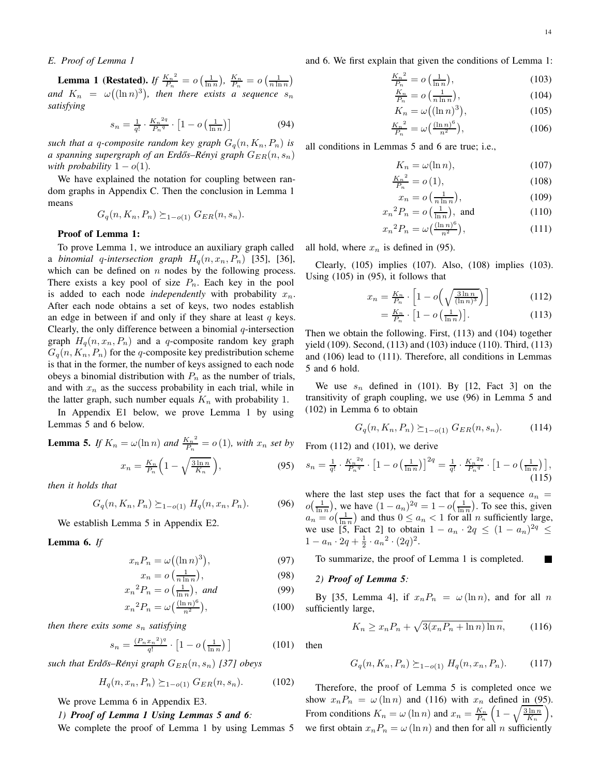#### <span id="page-13-0"></span>*E. Proof of Lemma [1](#page-8-17)*

**Lemma [1](#page-8-17) (Restated).** If  $\frac{K_n^2}{P}$  $\frac{{K_n}^2}{P_n} = o\left(\frac{1}{\ln n}\right), \frac{K_n}{P_n} = o\left(\frac{1}{n \ln n}\right)$ and  $K_n = \omega((\ln n)^3)$ , then there exists a sequence  $s_n$ *satisfying*

$$
s_n = \frac{1}{q!} \cdot \frac{K_n^{2q}}{P_n^q} \cdot \left[1 - o\left(\frac{1}{\ln n}\right)\right]
$$
 (94)

*such that a q-composite random key graph*  $G_q(n, K_n, P_n)$  *is a spanning supergraph of an Erdős–Rényi graph*  $G_{ER}(n, s_n)$ *with probability*  $1 - o(1)$ *.* 

We have explained the notation for coupling between random graphs in Appendix [C.](#page-10-1) Then the conclusion in Lemma [1](#page-8-17) means

$$
G_q(n, K_n, P_n) \succeq_{1-o(1)} G_{ER}(n, s_n).
$$

#### Proof of Lemma [1:](#page-8-17)

To prove Lemma [1,](#page-8-17) we introduce an auxiliary graph called a *binomial* q-intersection graph  $H_q(n, x_n, P_n)$  [\[35\]](#page-9-24), [\[36\]](#page-9-25), which can be defined on  $n$  nodes by the following process. There exists a key pool of size  $P_n$ . Each key in the pool is added to each node *independently* with probability  $x_n$ . After each node obtains a set of keys, two nodes establish an edge in between if and only if they share at least  $q$  keys. Clearly, the only difference between a binomial  $q$ -intersection graph  $H_q(n, x_n, P_n)$  and a q-composite random key graph  $G_q(n, K_n, P_n)$  for the q-composite key predistribution scheme is that in the former, the number of keys assigned to each node obeys a binomial distribution with  $P_n$  as the number of trials, and with  $x_n$  as the success probability in each trial, while in the latter graph, such number equals  $K_n$  with probability 1.

In Appendix [E1](#page-13-1) below, we prove Lemma [1](#page-8-17) by using Lemmas [5](#page-13-2) and [6](#page-13-3) below.

<span id="page-13-2"></span>**Lemma 5.** If 
$$
K_n = \omega(\ln n)
$$
 and  $\frac{K_n^2}{P_n} = o(1)$ , with  $x_n$  set by  

$$
x_n = \frac{K_n}{P_n} \left(1 - \sqrt{\frac{3 \ln n}{K_n}}\right), \tag{95}
$$

*then it holds that*

$$
G_q(n, K_n, P_n) \succeq_{1-o(1)} H_q(n, x_n, P_n).
$$
 (96)

We establish Lemma [5](#page-13-2) in Appendix [E2.](#page-13-4)

<span id="page-13-3"></span>Lemma 6. *If*

$$
x_n P_n = \omega((\ln n)^3),\tag{97}
$$

$$
x_n = o\left(\frac{1}{n\ln n}\right),\tag{98}
$$

$$
x_n^2 P_n = o\left(\frac{1}{\ln n}\right), \text{ and} \tag{99}
$$

$$
x_n^2 P_n = \omega\left(\frac{(\ln n)^6}{n^2}\right),\tag{100}
$$

*then there exits some*  $s_n$  *satisfying* 

$$
s_n = \frac{(P_n x_n^2)^q}{q!} \cdot \left[1 - o\left(\frac{1}{\ln n}\right)\right] \tag{101}
$$

*such that Erdős–Rényi graph*  $G_{ER}(n, s_n)$  [\[37\]](#page-9-26) obeys

$$
H_q(n, x_n, P_n) \succeq_{1-o(1)} G_{ER}(n, s_n).
$$
 (102)

<span id="page-13-1"></span>We prove Lemma [6](#page-13-3) in Appendix [E3.](#page-14-0)

# *1) Proof of Lemma [1](#page-8-17) Using Lemmas [5](#page-13-2) and [6](#page-13-3):*

We complete the proof of Lemma [1](#page-8-17) by using Lemmas [5](#page-13-2)

and [6.](#page-13-3) We first explain that given the conditions of Lemma [1:](#page-8-17)

<span id="page-13-11"></span><span id="page-13-9"></span>
$$
\frac{K_n^2}{P_n} = o\left(\frac{1}{\ln n}\right),\tag{103}
$$

$$
\frac{K_n}{P_n} = o\left(\frac{1}{n\ln n}\right),\tag{104}
$$

$$
K_n = \omega((\ln n)^3),\tag{105}
$$

<span id="page-13-14"></span><span id="page-13-6"></span>
$$
\frac{K_n^2}{P_n} = \omega\left(\frac{(\ln n)^6}{n^2}\right),\tag{106}
$$

all conditions in Lemmas [5](#page-13-2) and [6](#page-13-3) are true; i.e.,

$$
K_n = \omega(\ln n),\tag{107}
$$

$$
\frac{K_n^2}{P_n} = o(1),\tag{108}
$$

<span id="page-13-15"></span><span id="page-13-13"></span><span id="page-13-12"></span><span id="page-13-8"></span><span id="page-13-7"></span>
$$
x_n = o\left(\frac{1}{n\ln n}\right),\tag{109}
$$

$$
x_n^2 P_n = o\left(\frac{1}{\ln n}\right), \text{ and } (110)
$$

$$
x_n^2 P_n = \omega\left(\frac{(\ln n)^6}{n^2}\right),\tag{111}
$$

all hold, where  $x_n$  is defined in [\(95\)](#page-13-5).

Clearly, [\(105\)](#page-13-6) implies [\(107\)](#page-13-7). Also, [\(108\)](#page-13-8) implies [\(103\)](#page-13-9). Using [\(105\)](#page-13-6) in [\(95\)](#page-13-5), it follows that

$$
x_n = \frac{K_n}{P_n} \cdot \left[1 - o\left(\sqrt{\frac{3\ln n}{(\ln n)^3}}\right)\right]
$$
(112)

<span id="page-13-19"></span><span id="page-13-10"></span>
$$
= \frac{K_n}{P_n} \cdot \left[1 - o\left(\frac{1}{\ln n}\right)\right].\tag{113}
$$

Then we obtain the following. First, [\(113\)](#page-13-10) and [\(104\)](#page-13-11) together yield [\(109\)](#page-13-12). Second, [\(113\)](#page-13-10) and [\(103\)](#page-13-9) induce [\(110\)](#page-13-13). Third, [\(113\)](#page-13-10) and [\(106\)](#page-13-14) lead to [\(111\)](#page-13-15). Therefore, all conditions in Lemmas [5](#page-13-2) and [6](#page-13-3) hold.

We use  $s_n$  defined in [\(101\)](#page-13-16). By [\[12,](#page-8-8) Fact 3] on the transitivity of graph coupling, we use [\(96\)](#page-13-17) in Lemma [5](#page-13-2) and [\(102\)](#page-13-18) in Lemma [6](#page-13-3) to obtain

$$
G_q(n, K_n, P_n) \succeq_{1-o(1)} G_{ER}(n, s_n). \tag{114}
$$

From [\(112\)](#page-13-19) and [\(101\)](#page-13-16), we derive

<span id="page-13-5"></span>
$$
s_n = \frac{1}{q!} \cdot \frac{K_n^{2q}}{P_n^q} \cdot \left[1 - o\left(\frac{1}{\ln n}\right)\right]^{2q} = \frac{1}{q!} \cdot \frac{K_n^{2q}}{P_n^q} \cdot \left[1 - o\left(\frac{1}{\ln n}\right)\right],\tag{115}
$$

<span id="page-13-17"></span>where the last step uses the fact that for a sequence  $a_n =$  $o(\frac{1}{\ln n})$ , we have  $(1 - a_n)^{2q} = 1 - o(\frac{1}{\ln n})$ . To see this, given  $a_n = o\left(\frac{1}{\ln n}\right)$  and thus  $0 \le a_n < 1$  for all n sufficiently large, we use [\[5,](#page-8-1) Fact 2] to obtain  $1 - a_n \cdot 2q \le (1 - a_n)^{2q} \le$  $1 - a_n \cdot 2q + \frac{1}{2} \cdot a_n^2 \cdot (2q)^2.$ 

<span id="page-13-4"></span>To summarize, the proof of Lemma [1](#page-8-17) is completed. ш

#### <span id="page-13-21"></span>*2) Proof of Lemma [5](#page-13-2):*

<span id="page-13-23"></span><span id="page-13-22"></span>By [\[35,](#page-9-24) Lemma 4], if  $x_nP_n = \omega(\ln n)$ , and for all n sufficiently large,

<span id="page-13-20"></span>
$$
K_n \ge x_n P_n + \sqrt{3(x_n P_n + \ln n) \ln n},\tag{116}
$$

<span id="page-13-16"></span>then

$$
G_q(n, K_n, P_n) \succeq_{1-o(1)} H_q(n, x_n, P_n).
$$
 (117)

<span id="page-13-18"></span>Therefore, the proof of Lemma [5](#page-13-2) is completed once we show  $x_nP_n = \omega(\ln n)$  and [\(116\)](#page-13-20) with  $x_n$  defined in [\(95\)](#page-13-5). From conditions  $K_n = \omega(\ln n)$  and  $x_n = \frac{K_n}{P_n}$  $\left(1-\sqrt{\frac{3\ln n}{K_n}}\right)$  $\big)$ , we first obtain  $x_nP_n = \omega(\ln n)$  and then for all n sufficiently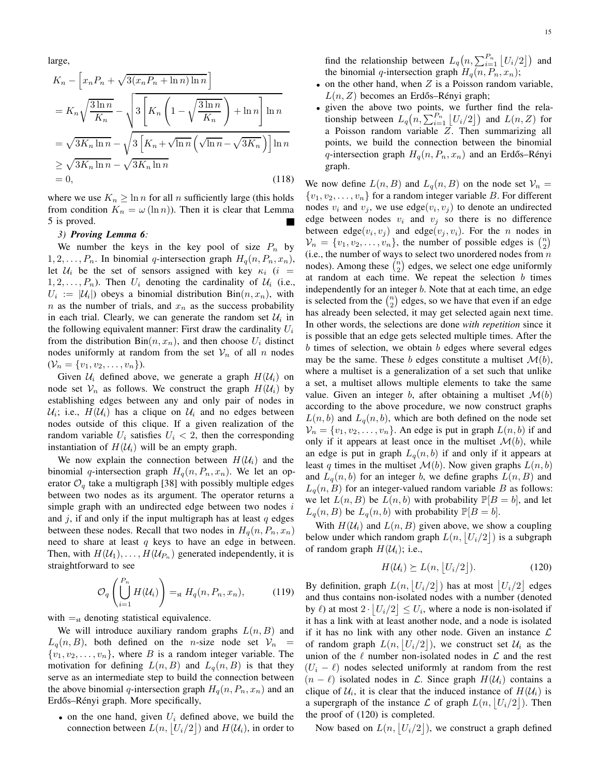large,

$$
K_n - \left[x_n P_n + \sqrt{3(x_n P_n + \ln n) \ln n}\right]
$$
  
=  $K_n \sqrt{\frac{3 \ln n}{K_n}} - \sqrt{3 \left[K_n \left(1 - \sqrt{\frac{3 \ln n}{K_n}}\right) + \ln n\right] \ln n}$   
=  $\sqrt{3K_n \ln n} - \sqrt{3 \left[K_n + \sqrt{\ln n} \left(\sqrt{\ln n} - \sqrt{3K_n}\right)\right] \ln n}$   
 $\ge \sqrt{3K_n \ln n} - \sqrt{3K_n \ln n}$   
= 0, (118)

where we use  $K_n \geq \ln n$  for all n sufficiently large (this holds from condition  $K_n = \omega(\ln n)$ . Then it is clear that Lemma [5](#page-13-2) is proved.

#### <span id="page-14-0"></span>*3) Proving Lemma [6](#page-13-3):*

We number the keys in the key pool of size  $P_n$  by  $1, 2, \ldots, P_n$ . In binomial q-intersection graph  $H_q(n, P_n, x_n)$ , let  $U_i$  be the set of sensors assigned with key  $\kappa_i$  (i =  $1, 2, \ldots, P_n$ ). Then  $U_i$  denoting the cardinality of  $U_i$  (i.e.,  $U_i := |\mathcal{U}_i|$  obeys a binomial distribution  $Bin(n, x_n)$ , with  $n$  as the number of trials, and  $x_n$  as the success probability in each trial. Clearly, we can generate the random set  $U_i$  in the following equivalent manner: First draw the cardinality  $U_i$ from the distribution  $Bin(n, x_n)$ , and then choose  $U_i$  distinct nodes uniformly at random from the set  $\mathcal{V}_n$  of all n nodes  $(\mathcal{V}_n = \{v_1, v_2, \ldots, v_n\}).$ 

Given  $\mathcal{U}_i$  defined above, we generate a graph  $H(\mathcal{U}_i)$  on node set  $V_n$  as follows. We construct the graph  $H(\mathcal{U}_i)$  by establishing edges between any and only pair of nodes in  $\mathcal{U}_i$ ; i.e.,  $H(\mathcal{U}_i)$  has a clique on  $\mathcal{U}_i$  and no edges between nodes outside of this clique. If a given realization of the random variable  $U_i$  satisfies  $U_i < 2$ , then the corresponding instantiation of  $H(\mathcal{U}_i)$  will be an empty graph.

We now explain the connection between  $H(\mathcal{U}_i)$  and the binomial q-intersection graph  $H_q(n, P_n, x_n)$ . We let an operator  $\mathcal{O}_q$  take a multigraph [\[38\]](#page-9-27) with possibly multiple edges between two nodes as its argument. The operator returns a simple graph with an undirected edge between two nodes  $i$ and  $j$ , if and only if the input multigraph has at least  $q$  edges between these nodes. Recall that two nodes in  $H_q(n, P_n, x_n)$ need to share at least  $q$  keys to have an edge in between. Then, with  $H(\mathcal{U}_1), \ldots, H(\mathcal{U}_{P_n})$  generated independently, it is straightforward to see

<span id="page-14-2"></span>
$$
\mathcal{O}_q\left(\bigcup_{i=1}^{P_n} H(\mathcal{U}_i)\right) =_{\text{st}} H_q(n, P_n, x_n),\tag{119}
$$

with  $=$ <sub>st</sub> denoting statistical equivalence.

We will introduce auxiliary random graphs  $L(n, B)$  and  $L_q(n, B)$ , both defined on the *n*-size node set  $V_n$  $\{v_1, v_2, \ldots, v_n\}$ , where B is a random integer variable. The motivation for defining  $L(n, B)$  and  $L_q(n, B)$  is that they serve as an intermediate step to build the connection between the above binomial q-intersection graph  $H_q(n, P_n, x_n)$  and an Erdős–Rényi graph. More specifically,

• on the one hand, given  $U_i$  defined above, we build the connection between  $L(n, \lfloor U_i/2 \rfloor)$  and  $H(\mathcal{U}_i)$ , in order to

find the relationship between  $L_q(n, \sum_{i=1}^{P_n} |U_i/2|)$  and the binomial q-intersection graph  $H_q(n, P_n, x_n);$ 

- on the other hand, when  $Z$  is a Poisson random variable,  $L(n, Z)$  becomes an Erdős–Rényi graph;
- given the above two points, we further find the relationship between  $L_q(n, \sum_{i=1}^{P_n} \lfloor U_i/2 \rfloor)$  and  $L(n, Z)$  for a Poisson random variable  $Z$ . Then summarizing all points, we build the connection between the binomial q-intersection graph  $H_q(n, P_n, x_n)$  and an Erdős–Rényi graph.

We now define  $L(n, B)$  and  $L_q(n, B)$  on the node set  $V_n =$  $\{v_1, v_2, \ldots, v_n\}$  for a random integer variable B. For different nodes  $v_i$  and  $v_j$ , we use edge $(v_i, v_j)$  to denote an undirected edge between nodes  $v_i$  and  $v_j$  so there is no difference between edge $(v_i, v_j)$  and edge $(v_j, v_i)$ . For the *n* nodes in  $V_n = \{v_1, v_2, \ldots, v_n\}$ , the number of possible edges is  $\binom{n}{2}$ (i.e., the number of ways to select two unordered nodes from  $n$ nodes). Among these  $\binom{n}{2}$  edges, we select one edge uniformly at random at each time. We repeat the selection  $b$  times independently for an integer  $b$ . Note that at each time, an edge is selected from the  $\binom{n}{2}$  edges, so we have that even if an edge has already been selected, it may get selected again next time. In other words, the selections are done *with repetition* since it is possible that an edge gets selected multiple times. After the  $b$  times of selection, we obtain  $b$  edges where several edges may be the same. These b edges constitute a multiset  $\mathcal{M}(b)$ , where a multiset is a generalization of a set such that unlike a set, a multiset allows multiple elements to take the same value. Given an integer b, after obtaining a multiset  $\mathcal{M}(b)$ according to the above procedure, we now construct graphs  $L(n, b)$  and  $L_q(n, b)$ , which are both defined on the node set  $V_n = \{v_1, v_2, \dots, v_n\}$ . An edge is put in graph  $L(n, b)$  if and only if it appears at least once in the multiset  $\mathcal{M}(b)$ , while an edge is put in graph  $L_q(n, b)$  if and only if it appears at least q times in the multiset  $\mathcal{M}(b)$ . Now given graphs  $L(n, b)$ and  $L_q(n, b)$  for an integer b, we define graphs  $L(n, B)$  and  $L_q(n, B)$  for an integer-valued random variable B as follows: we let  $L(n, B)$  be  $L(n, b)$  with probability  $\mathbb{P}[B = b]$ , and let  $L_q(n, B)$  be  $L_q(n, b)$  with probability  $\mathbb{P}[B = b]$ .

With  $H(\mathcal{U}_i)$  and  $L(n, B)$  given above, we show a coupling below under which random graph  $L(n, |U_i/2|)$  is a subgraph of random graph  $H(\mathcal{U}_i)$ ; i.e.,

<span id="page-14-1"></span>
$$
H(\mathcal{U}_i) \succeq L(n, \lfloor U_i/2 \rfloor). \tag{120}
$$

By definition, graph  $L(n, |U_i/2|)$  has at most  $|U_i/2|$  edges and thus contains non-isolated nodes with a number (denoted by  $\ell$ ) at most  $2 \cdot \lfloor U_i/2 \rfloor \leq U_i$ , where a node is non-isolated if it has a link with at least another node, and a node is isolated if it has no link with any other node. Given an instance  $\mathcal L$ of random graph  $L(n, [U_i/2])$ , we construct set  $U_i$  as the union of the  $\ell$  number non-isolated nodes in  $\mathcal L$  and the rest  $(U_i - \ell)$  nodes selected uniformly at random from the rest  $(n - \ell)$  isolated nodes in  $\mathcal{L}$ . Since graph  $H(\mathcal{U}_i)$  contains a clique of  $\mathcal{U}_i$ , it is clear that the induced instance of  $H(\mathcal{U}_i)$  is a supergraph of the instance  $\mathcal L$  of graph  $L(n, \lfloor U_i/2 \rfloor)$ . Then the proof of [\(120\)](#page-14-1) is completed.

Now based on  $L(n, \lfloor U_i/2 \rfloor)$ , we construct a graph defined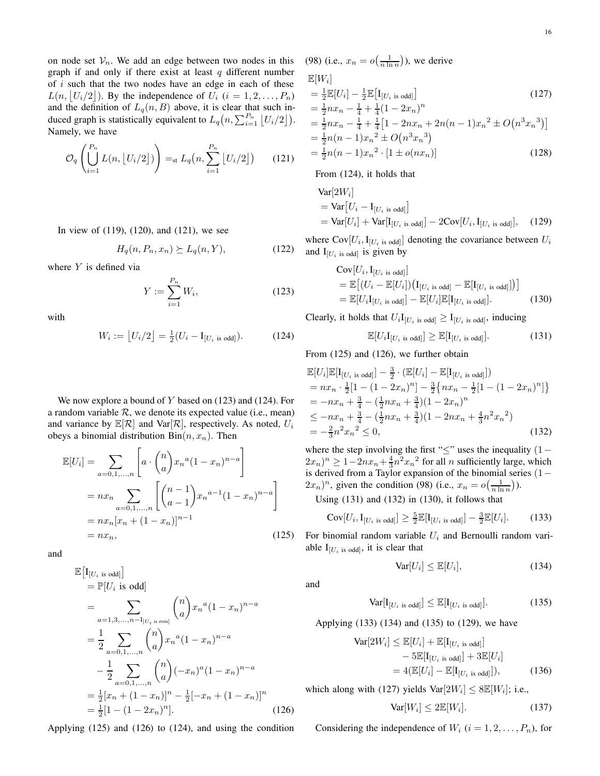on node set  $V_n$ . We add an edge between two nodes in this graph if and only if there exist at least  $q$  different number of  $i$  such that the two nodes have an edge in each of these  $L(n, |U_i/2|)$ . By the independence of  $U_i$   $(i = 1, 2, \ldots, P_n)$ and the definition of  $L_q(n, B)$  above, it is clear that such induced graph is statistically equivalent to  $L_q(n, \sum_{i=1}^{P_n} \lfloor U_i/2 \rfloor)$ . Namely, we have

$$
\mathcal{O}_q\left(\bigcup_{i=1}^{P_n} L(n, \lfloor U_i/2 \rfloor)\right) =_{\text{st}} L_q\left(n, \sum_{i=1}^{P_n} \lfloor U_i/2 \rfloor\right) \tag{121}
$$

In view of [\(119\)](#page-14-2), [\(120\)](#page-14-1), and [\(121\)](#page-15-0), we see

$$
H_q(n, P_n, x_n) \succeq L_q(n, Y), \tag{122}
$$

where  $Y$  is defined via

$$
Y := \sum_{i=1}^{P_n} W_i,
$$
 (123)

with

$$
W_i := \left\lfloor U_i/2 \right\rfloor = \frac{1}{2}(U_i - I_{[U_i \text{ is odd}]}).
$$
 (124)

We now explore a bound of Y based on  $(123)$  and  $(124)$ . For a random variable  $R$ , we denote its expected value (i.e., mean) and variance by  $\mathbb{E}[\mathcal{R}]$  and  $\text{Var}[\mathcal{R}]$ , respectively. As noted,  $U_i$ obeys a binomial distribution  $Bin(n, x_n)$ . Then

$$
\mathbb{E}[U_i] = \sum_{a=0,1,...,n} \left[ a \cdot {n \choose a} x_n^a (1-x_n)^{n-a} \right]
$$
  
=  $nx_n \sum_{a=0,1,...,n} \left[ {n-1 \choose a-1} x_n^{a-1} (1-x_n)^{n-a} \right]$   
=  $nx_n [x_n + (1-x_n)]^{n-1}$   
=  $nx_n$ , (125)

and

$$
\mathbb{E}\left[\mathbf{I}_{[U_i \text{ is odd}]} \right]
$$
\n
$$
= \mathbb{P}[U_i \text{ is odd}]
$$
\n
$$
= \sum_{a=1,3,\dots,n-1_{[U_i \text{ is even}]}} {n \choose a} x_n^a (1 - x_n)^{n-a}
$$
\n
$$
= \frac{1}{2} \sum_{a=0,1,\dots,n} {n \choose a} x_n^a (1 - x_n)^{n-a}
$$
\n
$$
- \frac{1}{2} \sum_{a=0,1,\dots,n} {n \choose a} (-x_n)^a (1 - x_n)^{n-a}
$$
\n
$$
= \frac{1}{2} [x_n + (1 - x_n)]^n - \frac{1}{2} [-x_n + (1 - x_n)]^n
$$
\n
$$
= \frac{1}{2} [1 - (1 - 2x_n)^n]. \tag{126}
$$

Applying [\(125\)](#page-15-3) and [\(126\)](#page-15-4) to [\(124\)](#page-15-2), and using the condition

[\(98\)](#page-13-21) (i.e.,  $x_n = o\left(\frac{1}{n \ln n}\right)$ ), we derive

$$
\mathbb{E}[W_i] \n= \frac{1}{2} \mathbb{E}[U_i] - \frac{1}{2} \mathbb{E}[\mathbf{I}_{[U_i \text{ is odd}]}] \n= \frac{1}{2} nx_n - \frac{1}{4} + \frac{1}{4} (1 - 2x_n)^n
$$
\n(127)

<span id="page-15-12"></span>
$$
= \frac{1}{2}nx_n - \frac{1}{4} + \frac{1}{4}\left[1 - 2nx_n + 2n(n-1)x_n^2 \pm O\left(n^3x_n^3\right)\right]
$$
  
\n
$$
= \frac{1}{2}n(n-1)x_n^2 \pm O\left(n^3x_n^3\right)
$$
  
\n
$$
= \frac{1}{2}n(n-1)x_n^2 \cdot [1 \pm o(nx_n)] \tag{128}
$$

<span id="page-15-0"></span>From [\(124\)](#page-15-2), it holds that

<span id="page-15-14"></span>
$$
\begin{aligned} \n\text{Var}[2W_i] &= \text{Var}[U_i - \text{I}_{[U_i \text{ is odd}]}] \\ \n&= \text{Var}[U_i] + \text{Var}[\text{I}_{[U_i \text{ is odd}]}] - 2\text{Cov}[U_i, \text{I}_{[U_i \text{ is odd}]}], \quad (129) \n\end{aligned}
$$

<span id="page-15-15"></span>where  $\text{Cov}[U_i, \text{I}_{[U_i \text{ is odd}]}]$  denoting the covariance between  $U_i$ and  $I_{[U_i \text{ is odd}]}$  is given by

$$
\begin{aligned} &\text{Cov}[U_i, \mathbf{I}_{[U_i \text{ is odd}]}] \\ &= \mathbb{E}\big[(U_i - \mathbb{E}[U_i])\big(\mathbf{I}_{[U_i \text{ is odd}]} - \mathbb{E}[\mathbf{I}_{[U_i \text{ is odd}]}]\big)\big] \\ &= \mathbb{E}[U_i \mathbf{I}_{[U_i \text{ is odd}]}] - \mathbb{E}[U_i] \mathbb{E}[\mathbf{I}_{[U_i \text{ is odd}]}]. \end{aligned} \tag{130}
$$

<span id="page-15-2"></span><span id="page-15-1"></span>Clearly, it holds that  $U_i I_{[U_i \text{ is odd}]} \geq I_{[U_i \text{ is odd}]},$  inducing

<span id="page-15-11"></span><span id="page-15-7"></span><span id="page-15-6"></span><span id="page-15-5"></span>
$$
\mathbb{E}[U_i \mathbf{I}_{[U_i \text{ is odd}]}] \ge \mathbb{E}[\mathbf{I}_{[U_i \text{ is odd}]}]. \tag{131}
$$

From [\(125\)](#page-15-3) and [\(126\)](#page-15-4), we further obtain

$$
\mathbb{E}[U_i]\mathbb{E}[\mathbf{I}_{[U_i \text{ is odd}]}] - \frac{3}{2} \cdot (\mathbb{E}[U_i] - \mathbb{E}[\mathbf{I}_{[U_i \text{ is odd}]}])
$$
\n
$$
= nx_n \cdot \frac{1}{2} [1 - (1 - 2x_n)^n] - \frac{3}{2} \{ nx_n - \frac{1}{2} [1 - (1 - 2x_n)^n] \}
$$
\n
$$
= -nx_n + \frac{3}{4} - (\frac{1}{2} nx_n + \frac{3}{4}) (1 - 2x_n)^n
$$
\n
$$
\leq -nx_n + \frac{3}{4} - (\frac{1}{2} nx_n + \frac{3}{4}) (1 - 2nx_n + \frac{4}{3} n^2 x_n^2)
$$
\n
$$
= -\frac{2}{3} n^2 x_n^2 \leq 0,
$$
\n(132)

where the step involving the first " $\leq$ " uses the inequality (1 –  $(2x_n)^n \geq 1 - 2nx_n + \frac{4}{3}n^2x_n^2$  for all *n* sufficiently large, which is derived from a Taylor expansion of the binomial series (1−  $(2x_n)^n$ , given the condition [\(98\)](#page-13-21) (i.e.,  $x_n = o\left(\frac{1}{n \ln n}\right)$ ).

Using [\(131\)](#page-15-5) and [\(132\)](#page-15-6) in [\(130\)](#page-15-7), it follows that

$$
Cov[U_i, I_{[U_i \text{ is odd}]}] \ge \frac{5}{2} \mathbb{E}[I_{[U_i \text{ is odd}]}] - \frac{3}{2} \mathbb{E}[U_i].
$$
 (133)

<span id="page-15-3"></span>For binomial random variable  $U_i$  and Bernoulli random variable  $I_{[U_i \text{ is odd}]},$  it is clear that

<span id="page-15-10"></span><span id="page-15-9"></span><span id="page-15-8"></span>
$$
\text{Var}[U_i] \le \mathbb{E}[U_i],\tag{134}
$$

and

$$
\text{Var}[\mathbf{I}_{[U_i \text{ is odd}]}] \le \mathbb{E}[\mathbf{I}_{[U_i \text{ is odd}]}]. \tag{135}
$$

Applying [\(133\)](#page-15-8) [\(134\)](#page-15-9) and [\(135\)](#page-15-10) to [\(129\)](#page-15-11), we have

$$
\operatorname{Var}[2W_i] \leq \mathbb{E}[U_i] + \mathbb{E}[\mathbf{I}_{[U_i \text{ is odd}]}]
$$
  
- 
$$
5\mathbb{E}[\mathbf{I}_{[U_i \text{ is odd}]}] + 3\mathbb{E}[U_i]
$$
  
= 
$$
4(\mathbb{E}[U_i] - \mathbb{E}[\mathbf{I}_{[U_i \text{ is odd}]}]),
$$
 (136)

<span id="page-15-4"></span>which along with [\(127\)](#page-15-12) yields  $Var[2W_i] \le 8E[W_i]$ ; i.e.,

<span id="page-15-13"></span>
$$
\text{Var}[W_i] \le 2\mathbb{E}[W_i].\tag{137}
$$

Considering the independence of  $W_i$   $(i = 1, 2, \ldots, P_n)$ , for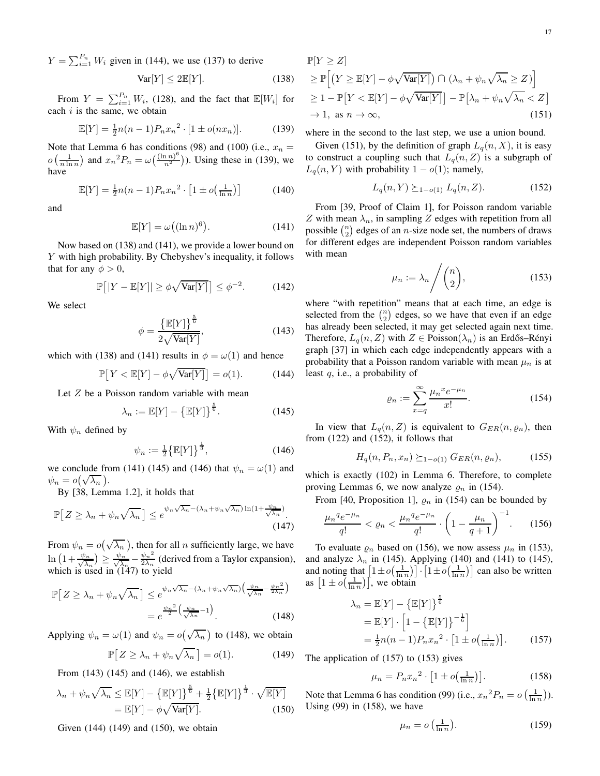$Y = \sum_{i=1}^{P_n} W_i$  given in [\(144\)](#page-16-0), we use [\(137\)](#page-15-13) to derive

$$
\text{Var}[Y] \le 2\mathbb{E}[Y].\tag{138}
$$

From  $Y = \sum_{i=1}^{P_n} W_i$ , [\(128\)](#page-15-14), and the fact that  $\mathbb{E}[W_i]$  for each  $i$  is the same, we obtain

$$
\mathbb{E}[Y] = \frac{1}{2}n(n-1)P_nx_n^2 \cdot [1 \pm o(nx_n)].
$$
 (139)

Note that Lemma [6](#page-13-3) has conditions [\(98\)](#page-13-21) and [\(100\)](#page-13-22) (i.e.,  $x_n =$  $o\left(\frac{1}{n\ln n}\right)$  and  $x_n^2 P_n = \omega\left(\frac{(\ln n)^6}{n^2}\right)$  $\binom{n}{n^2}$ ). Using these in [\(139\)](#page-16-1), we have

$$
\mathbb{E}[Y] = \frac{1}{2}n(n-1)P_n x_n^2 \cdot \left[1 \pm o\left(\frac{1}{\ln n}\right)\right]
$$
 (140)

and

$$
\mathbb{E}[Y] = \omega((\ln n)^6). \tag{141}
$$

Now based on [\(138\)](#page-16-2) and [\(141\)](#page-16-3), we provide a lower bound on Y with high probability. By Chebyshev's inequality, it follows that for any  $\phi > 0$ ,

$$
\mathbb{P}\big[|Y - \mathbb{E}[Y]| \ge \phi \sqrt{\text{Var}[Y]}\big] \le \phi^{-2}.\tag{142}
$$

We select

$$
\phi = \frac{\left\{ \mathbb{E}[Y] \right\}^{\frac{5}{6}}}{2\sqrt{\text{Var}[Y]}},\tag{143}
$$

which with [\(138\)](#page-16-2) and [\(141\)](#page-16-3) results in  $\phi = \omega(1)$  and hence

$$
\mathbb{P}\big[Y < \mathbb{E}[Y] - \phi\sqrt{\text{Var}[Y]}\big] = o(1). \tag{144}
$$

Let Z be a Poisson random variable with mean

$$
\lambda_n := \mathbb{E}[Y] - \left\{ \mathbb{E}[Y] \right\}^{\frac{5}{6}}.
$$
 (145)

With  $\psi_n$  defined by

$$
\psi_n := \frac{1}{2} \left\{ \mathbb{E}[Y] \right\}^{\frac{1}{3}},\tag{146}
$$

we conclude from [\(141\)](#page-16-3) [\(145\)](#page-16-4) and [\(146\)](#page-16-5) that  $\psi_n = \omega(1)$  and  $\psi_n = o(\sqrt{\lambda_n}).$ 

By [\[38,](#page-9-27) Lemma 1.2], it holds that

$$
\mathbb{P}\left[Z \ge \lambda_n + \psi_n \sqrt{\lambda_n}\right] \le e^{\psi_n \sqrt{\lambda_n} - (\lambda_n + \psi_n \sqrt{\lambda_n}) \ln(1 + \frac{\psi_n}{\sqrt{\lambda_n}})}.
$$
\n(147)

From  $\psi_n = o(\sqrt{\lambda_n})$ , then for all *n* sufficiently large, we have  $\ln\left(1+\frac{\psi_n}{\sqrt{N}}\right)$  $\left(\frac{\psi_n}{\lambda_n}\right) \geq \frac{\psi_n}{\sqrt{\lambda_n}}$  $\frac{\psi_n}{\lambda_n} - \frac{\psi_n^2}{2\lambda_n}$  $\frac{\psi_n}{2\lambda_n}$  (derived from a Taylor expansion), which is used in  $(147)$  to yield

$$
\mathbb{P}\left[Z \ge \lambda_n + \psi_n \sqrt{\lambda_n}\right] \le e^{\psi_n \sqrt{\lambda_n} - (\lambda_n + \psi_n \sqrt{\lambda_n})\left(\frac{\psi_n}{\sqrt{\lambda_n}} - \frac{\psi_n^2}{2\lambda_n}\right)}
$$

$$
= e^{\frac{\psi_n^2}{2}\left(\frac{\psi_n}{\sqrt{\lambda_n}} - 1\right)}.
$$
(148)

Applying  $\psi_n = \omega(1)$  and  $\psi_n = o(\sqrt{\lambda_n})$  to [\(148\)](#page-16-7), we obtain

$$
\mathbb{P}\big[Z\geq \lambda_n+\psi_n\sqrt{\lambda_n}\,\big]=o(1). \tag{149}
$$

From [\(143\)](#page-16-8) [\(145\)](#page-16-4) and [\(146\)](#page-16-5), we establish

$$
\lambda_n + \psi_n \sqrt{\lambda_n} \le \mathbb{E}[Y] - \left\{ \mathbb{E}[Y] \right\}^{\frac{5}{6}} + \frac{1}{2} \left\{ \mathbb{E}[Y] \right\}^{\frac{1}{3}} \cdot \sqrt{\mathbb{E}[Y]}
$$

$$
= \mathbb{E}[Y] - \phi \sqrt{\text{Var}[Y]}.
$$
(150)

Given [\(144\)](#page-16-0) [\(149\)](#page-16-9) and [\(150\)](#page-16-10), we obtain

<span id="page-16-2"></span>
$$
\mathbb{P}[Y \ge Z] \n\ge \mathbb{P}\Big[ (Y \ge \mathbb{E}[Y] - \phi \sqrt{\text{Var}[Y]}) \cap (\lambda_n + \psi_n \sqrt{\lambda_n} \ge Z) \Big] \n\ge 1 - \mathbb{P}\big[ Y < \mathbb{E}[Y] - \phi \sqrt{\text{Var}[Y]} \big] - \mathbb{P}\big[ \lambda_n + \psi_n \sqrt{\lambda_n} < Z \big] \n\to 1, \text{ as } n \to \infty,
$$
\n(151)

<span id="page-16-1"></span>where in the second to the last step, we use a union bound.

Given [\(151\)](#page-16-11), by the definition of graph  $L_q(n, X)$ , it is easy to construct a coupling such that  $L_q(n, Z)$  is a subgraph of  $L_q(n, Y)$  with probability  $1 - o(1)$ ; namely,

<span id="page-16-12"></span><span id="page-16-11"></span>
$$
L_q(n, Y) \succeq_{1-o(1)} L_q(n, Z). \tag{152}
$$

<span id="page-16-16"></span><span id="page-16-3"></span>From [\[39,](#page-9-28) Proof of Claim 1], for Poisson random variable Z with mean  $\lambda_n$ , in sampling Z edges with repetition from all possible  $\binom{n}{2}$  edges of an *n*-size node set, the numbers of draws for different edges are independent Poisson random variables with mean

<span id="page-16-15"></span>
$$
\mu_n := \lambda_n \Bigg/ \binom{n}{2},\tag{153}
$$

<span id="page-16-8"></span>where "with repetition" means that at each time, an edge is selected from the  $\binom{n}{2}$  edges, so we have that even if an edge has already been selected, it may get selected again next time. Therefore,  $L_q(n, Z)$  with  $Z \in \text{Poisson}(\lambda_n)$  is an Erdős–Rényi graph [\[37\]](#page-9-26) in which each edge independently appears with a probability that a Poisson random variable with mean  $\mu_n$  is at least  $q$ , i.e., a probability of

<span id="page-16-20"></span><span id="page-16-13"></span>
$$
\varrho_n := \sum_{x=q}^{\infty} \frac{\mu_n^x e^{-\mu_n}}{x!}.\tag{154}
$$

<span id="page-16-5"></span><span id="page-16-4"></span><span id="page-16-0"></span>In view that  $L_q(n, Z)$  is equivalent to  $G_{ER}(n, \rho_n)$ , then from [\(122\)](#page-15-15) and [\(152\)](#page-16-12), it follows that

<span id="page-16-14"></span>
$$
H_q(n, P_n, x_n) \succeq_{1-o(1)} G_{ER}(n, \varrho_n), \tag{155}
$$

which is exactly [\(102\)](#page-13-18) in Lemma [6.](#page-13-3) Therefore, to complete proving Lemmas [6,](#page-13-3) we now analyze  $\varrho_n$  in [\(154\)](#page-16-13).

From [\[40,](#page-9-29) Proposition 1],  $\varrho_n$  in [\(154\)](#page-16-13) can be bounded by

$$
\frac{\mu_n q e^{-\mu_n}}{q!} < \varrho_n < \frac{\mu_n q e^{-\mu_n}}{q!} \cdot \left(1 - \frac{\mu_n}{q+1}\right)^{-1}.\tag{156}
$$

<span id="page-16-6"></span>To evaluate  $\varrho_n$  based on [\(156\)](#page-16-14), we now assess  $\mu_n$  in [\(153\)](#page-16-15), and analyze  $\lambda_n$  in [\(145\)](#page-16-4). Applying [\(140\)](#page-16-16) and [\(141\)](#page-16-3) to [\(145\)](#page-16-4), and noting that  $\left[1 \pm o\left(\frac{1}{\ln n}\right)\right] \cdot \left[1 \pm o\left(\frac{1}{\ln n}\right)\right]$  can also be written as  $\left[1 \pm o\left(\frac{1}{\ln n}\right)\right]$ , we obtain

$$
\lambda_n = \mathbb{E}[Y] - \left\{\mathbb{E}[Y]\right\}^{\frac{5}{6}}
$$
  
=  $\mathbb{E}[Y] \cdot \left[1 - \left\{\mathbb{E}[Y]\right\}^{-\frac{1}{6}}\right]$   
=  $\frac{1}{2}n(n-1)P_nx_n^2 \cdot \left[1 \pm o\left(\frac{1}{\ln n}\right)\right].$  (157)

<span id="page-16-9"></span><span id="page-16-7"></span>The application of [\(157\)](#page-16-17) to [\(153\)](#page-16-15) gives

$$
\mu_n = P_n x_n^2 \cdot \left[1 \pm o\left(\frac{1}{\ln n}\right)\right].\tag{158}
$$

<span id="page-16-10"></span>Note that Lemma [6](#page-13-3) has condition [\(99\)](#page-13-23) (i.e.,  $x_n^2 P_n = o\left(\frac{1}{\ln n}\right)$ ). Using [\(99\)](#page-13-23) in [\(158\)](#page-16-18), we have

<span id="page-16-19"></span><span id="page-16-18"></span><span id="page-16-17"></span>
$$
\mu_n = o\left(\frac{1}{\ln n}\right). \tag{159}
$$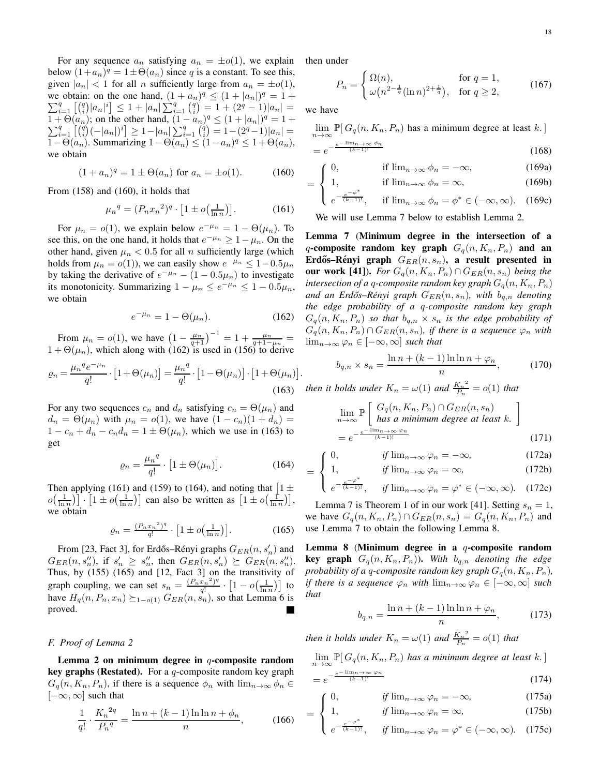For any sequence  $a_n$  satisfying  $a_n = \pm o(1)$ , we explain below  $(1+a_n)^q = 1 \pm \Theta(a_n)$  since q is a constant. To see this, given  $|a_n| < 1$  for all n sufficiently large from  $a_n = \pm o(1)$ , we obtain: on the one hand,  $(1 + a_n)^q \le (1 + |a_n|)^q = 1 +$  $\sum_{i=1}^{q} \left[ \binom{q}{i} |a_n|^i \right] \leq 1 + |a_n| \sum_{i=1}^{q} \binom{q}{i} = 1 + (2^q - 1)|a_n| =$  $1 + \Theta(a_n)$ ; on the other hand,  $(1 - a_n)^q \le (1 + |a_n|)^q = 1 +$  $\sum_{i=1}^{q} \left[ \binom{q}{i} (-|a_n|)^i \right] \geq 1 - |a_n| \sum_{i=1}^{q} \binom{q}{i} = 1 - (2^q - 1)|a_n| =$ 1− $\Theta(a_n)$ . Summarizing  $1 - \Theta(a_n) \leq (1 - a_n)^q \leq 1 + \Theta(a_n)$ , we obtain

$$
(1 + a_n)^q = 1 \pm \Theta(a_n) \text{ for } a_n = \pm o(1). \tag{160}
$$

From [\(158\)](#page-16-18) and [\(160\)](#page-17-3), it holds that

$$
\mu_n^q = (P_n x_n^2)^q \cdot \left[1 \pm o\left(\frac{1}{\ln n}\right)\right].\tag{161}
$$

For  $\mu_n = o(1)$ , we explain below  $e^{-\mu_n} = 1 - \Theta(\mu_n)$ . To see this, on the one hand, it holds that  $e^{-\mu_n} \geq 1 - \mu_n$ . On the other hand, given  $\mu_n < 0.5$  for all n sufficiently large (which holds from  $\mu_n = o(1)$ ), we can easily show  $e^{-\mu_n} \leq 1 - 0.5\mu_n$ by taking the derivative of  $e^{-\mu_n} - (1 - 0.5\mu_n)$  to investigate its monotonicity. Summarizing  $1 - \mu_n \le e^{-\mu_n} \le 1 - 0.5\mu_n$ , we obtain

$$
e^{-\mu_n} = 1 - \Theta(\mu_n). \tag{162}
$$

From  $\mu_n = o(1)$ , we have  $\left(1 - \frac{\mu_n}{q+1}\right)^{-1} = 1 + \frac{\mu_n}{q+1 - \mu_n} =$  $1 + \Theta(\mu_n)$ , which along with [\(162\)](#page-17-4) is used in [\(156\)](#page-16-14) to derive

$$
\varrho_n = \frac{\mu_n q e^{-\mu_n}}{q!} \cdot \left[1 + \Theta(\mu_n)\right] = \frac{\mu_n q}{q!} \cdot \left[1 - \Theta(\mu_n)\right] \cdot \left[1 + \Theta(\mu_n)\right].
$$
\n(163)

For any two sequences  $c_n$  and  $d_n$  satisfying  $c_n = \Theta(\mu_n)$  and  $d_n = \Theta(\mu_n)$  with  $\mu_n = o(1)$ , we have  $(1 - c_n)(1 + d_n) =$  $1 - c_n + d_n - c_n d_n = 1 \pm \Theta(\mu_n)$ , which we use in [\(163\)](#page-17-5) to get

$$
\varrho_n = \frac{\mu_n^q}{q!} \cdot \left[1 \pm \Theta(\mu_n)\right].\tag{164}
$$

Then applying [\(161\)](#page-17-6) and [\(159\)](#page-16-19) to [\(164\)](#page-17-7), and noting that  $\left[1 \pm \frac{1}{2}\right]$  $o\left(\frac{1}{\ln n}\right)\right] \cdot \left[1 \pm o\left(\frac{1}{\ln n}\right)\right]$  can also be written as  $\left[1 \pm o\left(\frac{1}{\ln n}\right)\right]$ , we obtain

$$
\varrho_n = \frac{(P_n x_n^2)^q}{q!} \cdot \left[1 \pm o\left(\frac{1}{\ln n}\right)\right].\tag{165}
$$

From [\[23,](#page-9-5) Fact 3], for Erdős–Rényi graphs  $G_{ER}(n, s'_n)$  and  $G_{ER}(n, s''_n)$ , if  $s'_n \geq s''_n$ , then  $G_{ER}(n, s'_n) \geq G_{ER}(n, s''_n)$ . Thus, by [\(155\)](#page-16-20) [\(165\)](#page-17-8) and [\[12,](#page-8-8) Fact 3] on the transitivity of graph coupling, we can set  $s_n = \frac{(P_n x_n^2)^q}{q!}$  $\frac{(x_n)^2q}{q!} \cdot \left[1-o\left(\frac{1}{\ln n}\right)\right]$  to have  $H_q(n, P_n, x_n) \succeq_{1-o(1)} G_{ER}(n, s_n)$ , so that Lemma [6](#page-13-3) is proved.

#### <span id="page-17-0"></span>*F. Proof of Lemma [2](#page-10-10)*

Lemma [2](#page-10-10) on minimum degree in  $q$ -composite random key graphs (Restated). For a  $q$ -composite random key graph  $G_q(n, K_n, P_n)$ , if there is a sequence  $\phi_n$  with  $\lim_{n\to\infty}\phi_n \in$  $[-\infty, \infty]$  such that

$$
\frac{1}{q!} \cdot \frac{K_n^{2q}}{P_n^{q}} = \frac{\ln n + (k-1)\ln \ln n + \phi_n}{n},
$$
 (166)

then under

<span id="page-17-12"></span>
$$
P_n = \begin{cases} \Omega(n), & \text{for } q = 1, \\ \omega(n^{2 - \frac{1}{q}} (\ln n)^{2 + \frac{1}{q}}), & \text{for } q \ge 2, \end{cases}
$$
 (167)

we have

<span id="page-17-6"></span><span id="page-17-3"></span><span id="page-17-2"></span>=

<span id="page-17-7"></span>=

 $\lim_{n\to\infty} \mathbb{P}[G_q(n, K_n, P_n)$  has a minimum degree at least k.]  $= e$  $-\frac{e^{-\lim_{n\to\infty}\phi_n}}{(k-1)!}$ 

<span id="page-17-1"></span>
$$
e^{-\frac{(k-1)!}{(k-1)!}}\tag{168}
$$

$$
\int_{1}^{0} , \qquad \text{if } \lim_{n \to \infty} \phi_n = -\infty, \tag{169a}
$$
\n
$$
\int_{1}^{0} , \qquad \text{if } \lim_{n \to \infty} \phi_n = \infty \tag{169b}
$$

1, if 
$$
\lim_{n \to \infty} \phi_n = \infty
$$
, (169b)  
 $e^{-\frac{e^{-\phi^*}}{(k-1)!}}$  if  $\lim_{n \to \infty} \phi_n = \phi^* \in (-\infty, \infty)$  (169c)

$$
\left( e^{-\frac{e^{-\phi^*}}{(k-1)!}}, \quad \text{if } \lim_{n \to \infty} \phi_n = \phi^* \in (-\infty, \infty). \quad (169c)
$$

We will use Lemma [7](#page-17-9) below to establish Lemma [2.](#page-10-10)

<span id="page-17-9"></span>Lemma 7 (Minimum degree in the intersection of a q-composite random key graph  $G_q(n, K_n, P_n)$  and an Erdős–Rényi graph  $G_{ER}(n, s_n)$ , a result presented in our work [\[41\]](#page-9-30)). *For*  $G_q(n, K_n, P_n) \cap G_{ER}(n, s_n)$  *being the intersection of a q-composite random key graph*  $G_q(n, K_n, P_n)$ *and an Erdős–Rényi graph*  $G_{ER}(n, s_n)$ *, with*  $b_{q,n}$  *denoting the edge probability of a* q*-composite random key graph*  $G_q(n, K_n, P_n)$  *so that*  $b_{q,n} \times s_n$  *is the edge probability of*  $G_q(n, K_n, P_n) \cap G_{ER}(n, s_n)$ , if there is a sequence  $\varphi_n$  with  $\lim_{n\to\infty}\varphi_n\in[-\infty,\infty]$  *such that* 

$$
b_{q,n} \times s_n = \frac{\ln n + (k-1)\ln \ln n + \varphi_n}{n},\tag{170}
$$

<span id="page-17-5"></span><span id="page-17-4"></span>*then it holds under*  $K_n = \omega(1)$  *and*  $\frac{K_n^2}{P_n}$  $\frac{K_n^2}{P_n} = o(1)$  *that* 

$$
\lim_{n \to \infty} \mathbb{P}\left[\begin{array}{c} G_q(n, K_n, P_n) \cap G_{ER}(n, s_n) \\ has a minimum degree at least k. \end{array}\right]
$$
  
=  $e^{-\frac{e^{-\lim_{n \to \infty} \varphi_n}}{(k-1)!}}$  (171)

$$
\int_{1}^{0} , \qquad \qquad \text{if } \lim_{n \to \infty} \varphi_n = -\infty, \tag{172a}
$$
\n
$$
\int_{1}^{0} \lim_{n \to \infty} \varphi_n = \infty \tag{172b}
$$

$$
\left\{ \begin{array}{ll} 1, & \text{if } \lim_{n \to \infty} \varphi_n = \infty, \\ \text{if } \lim_{n \to \infty} \varphi_n = \infty, \end{array} \right. \tag{172b}
$$

$$
\left\{ e^{-\frac{e^{-\varphi^*}}{(k-1)!}}, \quad \text{if } \lim_{n \to \infty} \varphi_n = \varphi^* \in (-\infty, \infty). \quad (172c) \right\}
$$

<span id="page-17-8"></span>Lemma [7](#page-17-9) is Theorem 1 of in our work [\[41\]](#page-9-30). Setting  $s_n = 1$ , we have  $G_q(n, K_n, P_n) \cap G_{ER}(n, s_n) = G_q(n, K_n, P_n)$  and use Lemma [7](#page-17-9) to obtain the following Lemma [8.](#page-17-10)

<span id="page-17-10"></span>Lemma 8 (Minimum degree in a  $q$ -composite random **key graph**  $G_q(n, K_n, P_n)$ ). With  $b_{q,n}$  denoting the edge probability of a q-composite random key graph  $G_q(n, K_n, P_n)$ , *if there is a sequence*  $\varphi_n$  *with*  $\lim_{n\to\infty}\varphi_n \in [-\infty,\infty]$  *such that*

<span id="page-17-13"></span>
$$
b_{q,n} = \frac{\ln n + (k-1)\ln \ln n + \varphi_n}{n},
$$
 (173)

*then it holds under*  $K_n = \omega(1)$  *and*  $\frac{K_n^2}{R_n^2}$  $\frac{K_n^2}{P_n} = o(1)$  *that* 

 $\lim_{n\to\infty} \mathbb{P}[G_q(n, K_n, P_n)$  *has a minimum degree at least* k.]  $e^{-\lim_{n\to\infty}\varphi_n}$ 

$$
=e^{-\frac{e^{-im\pi x}}{(k-1)!}}\tag{174}
$$

$$
\int_{0}^{1} 0, \qquad \qquad \text{if } \lim_{n \to \infty} \varphi_n = -\infty,
$$
 (175a)

<span id="page-17-11"></span>
$$
= \begin{cases} 1, & \text{if } \lim_{n \to \infty} \varphi_n = \infty, \\ e^{-\frac{e^{-\varphi^*}}{(k-1)!}} & \text{if } \lim_{n \to \infty} \varphi_n = \varphi^* \in (-\infty, \infty) \end{cases}
$$
(175b)

$$
\left( e^{-\frac{e^{-\varphi}}{(k-1)!}}, \quad \text{if } \lim_{n \to \infty} \varphi_n = \varphi^* \in (-\infty, \infty). \quad (175c)
$$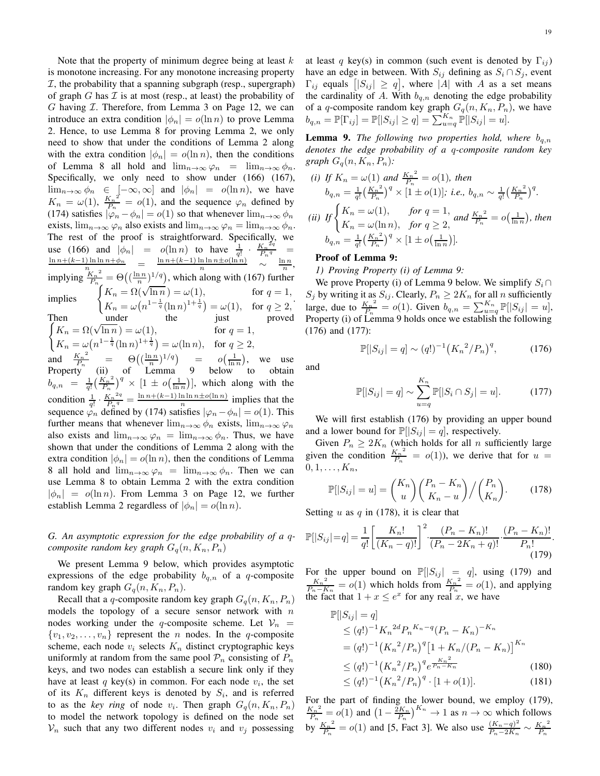Note that the property of minimum degree being at least  $k$ is monotone increasing. For any monotone increasing property  $I$ , the probability that a spanning subgraph (resp., supergraph) of graph  $G$  has  $I$  is at most (resp., at least) the probability of  $G$  having  $I$ . Therefore, from Lemma [3](#page-11-1) on Page [12,](#page-11-1) we can introduce an extra condition  $|\phi_n| = o(\ln n)$  to prove Lemma [2.](#page-10-10) Hence, to use Lemma [8](#page-17-10) for proving Lemma [2,](#page-10-10) we only need to show that under the conditions of Lemma [2](#page-10-10) along with the extra condition  $|\phi_n| = o(\ln n)$ , then the conditions of Lemma [8](#page-17-10) all hold and  $\lim_{n\to\infty}\varphi_n = \lim_{n\to\infty}\varphi_n$ . Specifically, we only need to show under [\(166\)](#page-17-11) [\(167\)](#page-17-12),  $\lim_{n\to\infty}\phi_n \in [-\infty,\infty]$  and  $|\phi_n| = o(\ln n)$ , we have  $K_n = \omega(1), \frac{K_n^2}{P_n}$  $\frac{x_n^2}{P_n} = o(1)$ , and the sequence  $\varphi_n$  defined by [\(174\)](#page-17-13) satisfies  $|\varphi_n - \varphi_n| = o(1)$  so that whenever  $\lim_{n \to \infty} \varphi_n$ exists,  $\lim_{n\to\infty} \varphi_n$  also exists and  $\lim_{n\to\infty} \varphi_n = \lim_{n\to\infty} \phi_n$ . The rest of the proof is straightforward. Specifically, we use [\(166\)](#page-17-11) and  $|\phi_n| = o(\ln n)$  to have  $\frac{1}{q!} \cdot \frac{K_n^{3q}}{P_n^{q}}$  $\frac{A_n^{-1}}{P_n^{-q}}$  =  $\frac{\ln n + (k-1) \ln \ln n + \phi_n}{n} = \frac{\ln n + (k-1) \ln \ln n \pm o(\ln n)}{n} \sim \frac{\ln n}{n},$ implying  $\frac{K_n^2}{P}$  $\frac{K_n^2}{P_n} = \Theta\left(\left(\frac{\ln n}{n}\right)^{1/q}\right)$ , which along with [\(167\)](#page-17-12) further implies  $\int_{K_n}^{K_n} K_n = \Omega(\sqrt{\ln n}) = \omega(1),$  for  $q = 1$ ,  $K_n = \omega (n^{1-\frac{1}{q}}(\ln n)^{1+\frac{1}{q}}) = \omega(1)$ , for  $q \ge 2$ , Then under the just proved  $\int K_n = \Omega(\sqrt{\ln n}) = \omega(1)$ , for  $q = 1$ ,  $K_n = \omega (n^{1 - \frac{1}{q}} (\ln n)^{1 + \frac{1}{q}}) = \omega (\ln n), \text{ for } q \ge 2,$ and  $\frac{K_n^2}{P}$  $\frac{K_n^2}{P_n}$  =  $\Theta\left(\left(\frac{\ln n}{n}\right)^{1/q}\right)$  =  $o\left(\frac{1}{\ln n}\right)$ , we use Property (ii) of Lemma [9](#page-18-0) below to obtain  $b_{q,n} = \frac{1}{q!} \left( \frac{{K_n}^2}{P_n} \right)$  $\frac{\dot{X}_n^2}{P_n}$  $\Big)^q$   $\times$   $\left[1 \pm o\left(\frac{1}{\ln n}\right)\right]$ , which along with the condition  $\frac{1}{q!} \cdot \frac{K_n^{2q}}{P_n^q}$  $\frac{K_n^{2q}}{P_n^q} = \frac{\ln n + (k-1)\ln \ln n \pm o(\ln n)}{n}$  implies that the sequence  $\varphi_n$  defined by [\(174\)](#page-17-13) satisfies  $|\varphi_n - \phi_n| = o(1)$ . This further means that whenever  $\lim_{n\to\infty}\phi_n$  exists,  $\lim_{n\to\infty}\phi_n$ also exists and  $\lim_{n\to\infty} \varphi_n = \lim_{n\to\infty} \varphi_n$ . Thus, we have shown that under the conditions of Lemma [2](#page-10-10) along with the extra condition  $|\phi_n| = o(\ln n)$ , then the conditions of Lemma [8](#page-17-10) all hold and  $\lim_{n\to\infty}\varphi_n = \lim_{n\to\infty}\varphi_n$ . Then we can use Lemma [8](#page-17-10) to obtain Lemma [2](#page-10-10) with the extra condition  $|\phi_n| = o(\ln n)$ . From Lemma [3](#page-11-1) on Page [12,](#page-11-1) we further establish Lemma [2](#page-10-10) regardless of  $|\phi_n| = o(\ln n)$ .

# *G. An asymptotic expression for the edge probability of a* q*composite random key graph*  $G_q(n, K_n, P_n)$

We present Lemma [9](#page-18-0) below, which provides asymptotic expressions of the edge probability  $b_{q,n}$  of a q-composite random key graph  $G_q(n, K_n, P_n)$ .

Recall that a q-composite random key graph  $G_q(n, K_n, P_n)$ models the topology of a secure sensor network with  $n$ nodes working under the q-composite scheme. Let  $V_n$  =  $\{v_1, v_2, \ldots, v_n\}$  represent the *n* nodes. In the *q*-composite scheme, each node  $v_i$  selects  $K_n$  distinct cryptographic keys uniformly at random from the same pool  $\mathcal{P}_n$  consisting of  $P_n$ keys, and two nodes can establish a secure link only if they have at least q key(s) in common. For each node  $v_i$ , the set of its  $K_n$  different keys is denoted by  $S_i$ , and is referred to as the *key ring* of node  $v_i$ . Then graph  $G_q(n, K_n, P_n)$ to model the network topology is defined on the node set  $V_n$  such that any two different nodes  $v_i$  and  $v_j$  possessing

<span id="page-18-6"></span><span id="page-18-5"></span><span id="page-18-4"></span><span id="page-18-3"></span><span id="page-18-2"></span>.

at least q key(s) in common (such event is denoted by  $\Gamma_{ij}$ ) have an edge in between. With  $S_{ij}$  defining as  $S_i \cap S_j$ , event  $\Gamma_{ij}$  equals  $[|S_{ij}| \geq q]$ , where |A| with A as a set means the cardinality of A. With  $b_{q,n}$  denoting the edge probability of a q-composite random key graph  $G_q(n, K_n, P_n)$ , we have  $b_{q,n} = \mathbb{P}[\Gamma_{ij}] = \mathbb{P}[|S_{ij}| \geq q] = \sum_{u=q}^{K_n} \mathbb{P}[|S_{ij}| = u].$ 

<span id="page-18-0"></span>**Lemma 9.** *The following two properties hold, where*  $b_{q,n}$ *denotes the edge probability of a* q*-composite random key graph*  $G_q(n, K_n, P_n)$ *:* 

(i) If 
$$
K_n = \omega(1)
$$
 and  $\frac{K_n^2}{P_n} = o(1)$ , then  
\n
$$
b_{q,n} = \frac{1}{q!} \left(\frac{K_n^2}{P_n}\right)^q \times [1 \pm o(1)]; i.e., b_{q,n} \sim \frac{1}{q!} \left(\frac{K_n^2}{P_n}\right)^q.
$$
\n(ii) If  $\begin{cases} K_n = \omega(1), & \text{for } q = 1, \\ K_n = \omega(\ln n), & \text{for } q \ge 2, \end{cases}$  and  $\frac{K_n^2}{P_n} = o\left(\frac{1}{\ln n}\right)$ , then  
\n
$$
b_{q,n} = \frac{1}{q!} \left(\frac{K_n^2}{P_n}\right)^q \times [1 \pm o\left(\frac{1}{\ln n}\right)].
$$

# Proof of Lemma [9:](#page-18-0)

*1) Proving Property (i) of Lemma [9:](#page-18-0)*

We prove Property (i) of Lemma [9](#page-18-0) below. We simplify  $S_i \cap$  $S_j$  by writing it as  $S_{ij}$ . Clearly,  $P_n \ge 2K_n$  for all n sufficiently large, due to  $\frac{K_n^2}{P}$  $\frac{K_n^2}{P_n} = o(1)$ . Given  $b_{q,n} = \sum_{u=q}^{K_n} \mathbb{P}[|S_{ij}| = u]$ , Property (i) of  $\mathcal{L}^n$  mma [9](#page-18-0) holds once we establish the following [\(176\)](#page-18-1) and [\(177\)](#page-18-2):

<span id="page-18-1"></span>
$$
\mathbb{P}[|S_{ij}| = q] \sim (q!)^{-1} (K_n^2 / P_n)^q, \tag{176}
$$

and

$$
\mathbb{P}[|S_{ij}| = q] \sim \sum_{u=q}^{K_n} \mathbb{P}[|S_i \cap S_j| = u]. \tag{177}
$$

We will first establish [\(176\)](#page-18-1) by providing an upper bound and a lower bound for  $\mathbb{P}[|S_{ij}| = q]$ , respectively.

Given  $P_n \geq 2K_n$  (which holds for all n sufficiently large given the condition  $\frac{K_n^2}{P}$  $\frac{\zeta_n^2}{P_n} = o(1)$ , we derive that for  $u =$  $0, 1, \ldots, K_n,$ 

$$
\mathbb{P}[|S_{ij}| = u] = \binom{K_n}{u} \binom{P_n - K_n}{K_n - u} / \binom{P_n}{K_n}.
$$
 (178)

Setting  $u$  as  $q$  in [\(178\)](#page-18-3), it is clear that

$$
\mathbb{P}[|S_{ij}| = q] = \frac{1}{q!} \left[ \frac{K_n!}{(K_n - q)!} \right]^2 \cdot \frac{(P_n - K_n)!}{(P_n - 2K_n + q)!} \cdot \frac{(P_n - K_n)!}{P_n!}
$$
\n(179)

For the upper bound on  $\mathbb{P}[|S_{ij}| = q]$ , using [\(179\)](#page-18-4) and  $\frac{K_n^2}{\epsilon} = o(1)$  which holds from  $\frac{K_n^2}{\epsilon} = o(1)$  and anniving  $\frac{K_n^2}{P_n-K_n} = o(1)$  which holds from  $\frac{K_n^2}{P_n}$  $\frac{X_n}{P_n} = o(1)$ , and applying the fact that  $1 + x \le e^x$  for any real x, we have

$$
\mathbb{P}[|S_{ij}| = q] \le (q!)^{-1} K_n^{2d} P_n^{K_n - q} (P_n - K_n)^{-K_n}
$$
  
=  $(q!)^{-1} (K_n^{2}/P_n)^{q} [1 + K_n/(P_n - K_n)]^{K_n}$   
 $\le (q!)^{-1} (K_n^{2}/P_n)^{q} e^{\frac{K_n - K_n}{P_n - K_n}}$  (180)

$$
\leq (q!)^{-1} \left( K_n^2 / P_n \right)^q \cdot [1 + o(1)]. \tag{181}
$$

For the part of finding the lower bound, we employ [\(179\)](#page-18-4),  $K_n{}^2$  $\frac{K_n^2}{P_n} = o(1)$  and  $\left(1 - \frac{2K_n}{P_n}\right)^{K_n} \to 1$  as  $n \to \infty$  which follows by  $\frac{K_n^2}{P}$  $\frac{K_n^2}{P_n} = o(1)$  and [\[5,](#page-8-1) Fact 3]. We also use  $\frac{(K_n - q)^2}{P_n - 2K_n}$  $\frac{(K_n-q)^2}{P_n-2K_n} \sim \frac{{K_n}^2}{P_n}$  $P_n$